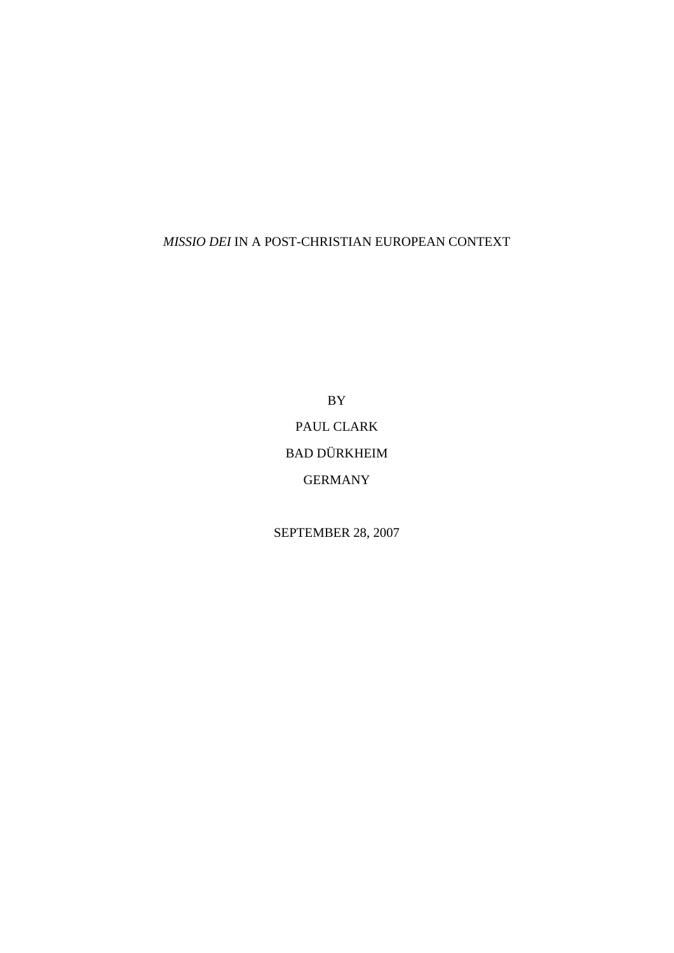# *MISSIO DEI* IN A POST-CHRISTIAN EUROPEAN CONTEXT

BY PAUL CLARK BAD DÜRKHEIM GERMANY

SEPTEMBER 28, 2007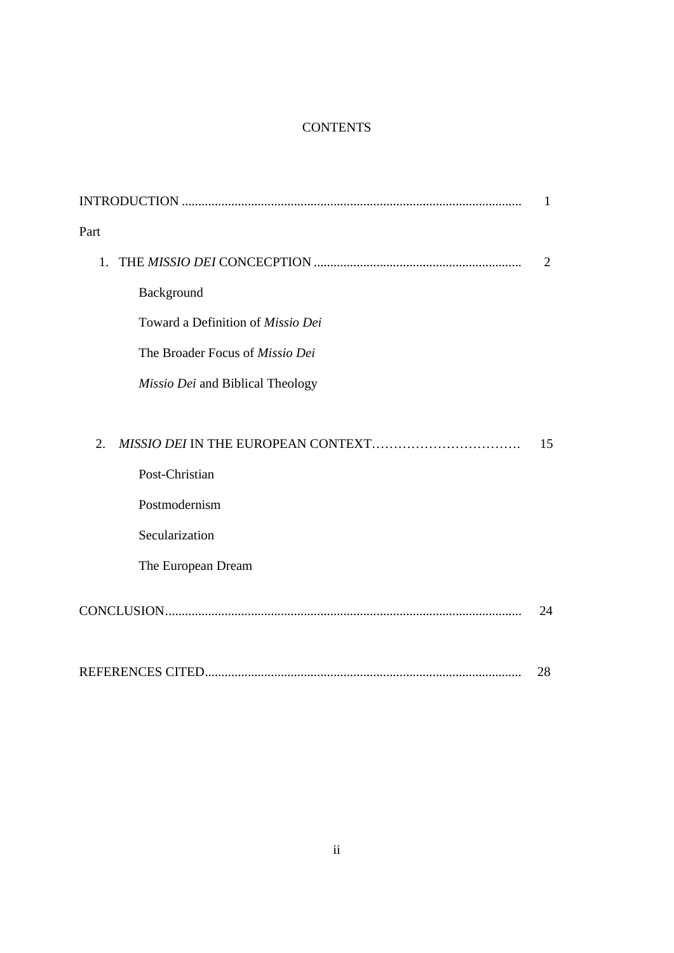# **CONTENTS**

|                                   | 1  |
|-----------------------------------|----|
| Part                              |    |
| 1.                                | 2  |
| Background                        |    |
| Toward a Definition of Missio Dei |    |
| The Broader Focus of Missio Dei   |    |
| Missio Dei and Biblical Theology  |    |
|                                   |    |
| 2.                                | 15 |
| Post-Christian                    |    |
| Postmodernism                     |    |
| Secularization                    |    |
| The European Dream                |    |
|                                   | 24 |
|                                   | 28 |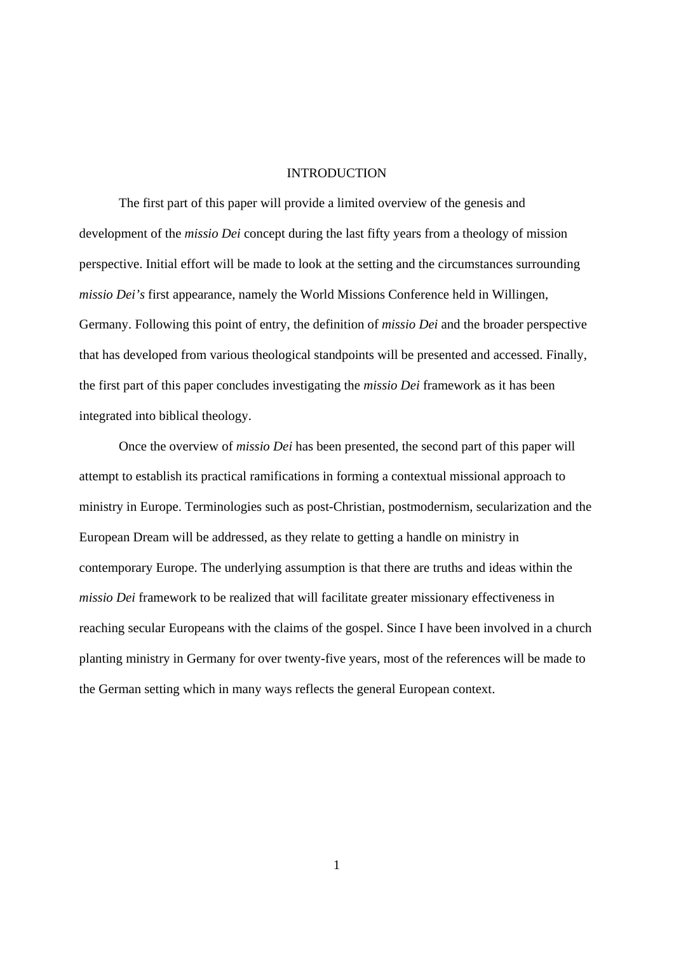#### INTRODUCTION

The first part of this paper will provide a limited overview of the genesis and development of the *missio Dei* concept during the last fifty years from a theology of mission perspective. Initial effort will be made to look at the setting and the circumstances surrounding *missio Dei's* first appearance, namely the World Missions Conference held in Willingen, Germany. Following this point of entry, the definition of *missio Dei* and the broader perspective that has developed from various theological standpoints will be presented and accessed. Finally, the first part of this paper concludes investigating the *missio Dei* framework as it has been integrated into biblical theology.

Once the overview of *missio Dei* has been presented, the second part of this paper will attempt to establish its practical ramifications in forming a contextual missional approach to ministry in Europe. Terminologies such as post-Christian, postmodernism, secularization and the European Dream will be addressed, as they relate to getting a handle on ministry in contemporary Europe. The underlying assumption is that there are truths and ideas within the *missio Dei* framework to be realized that will facilitate greater missionary effectiveness in reaching secular Europeans with the claims of the gospel. Since I have been involved in a church planting ministry in Germany for over twenty-five years, most of the references will be made to the German setting which in many ways reflects the general European context.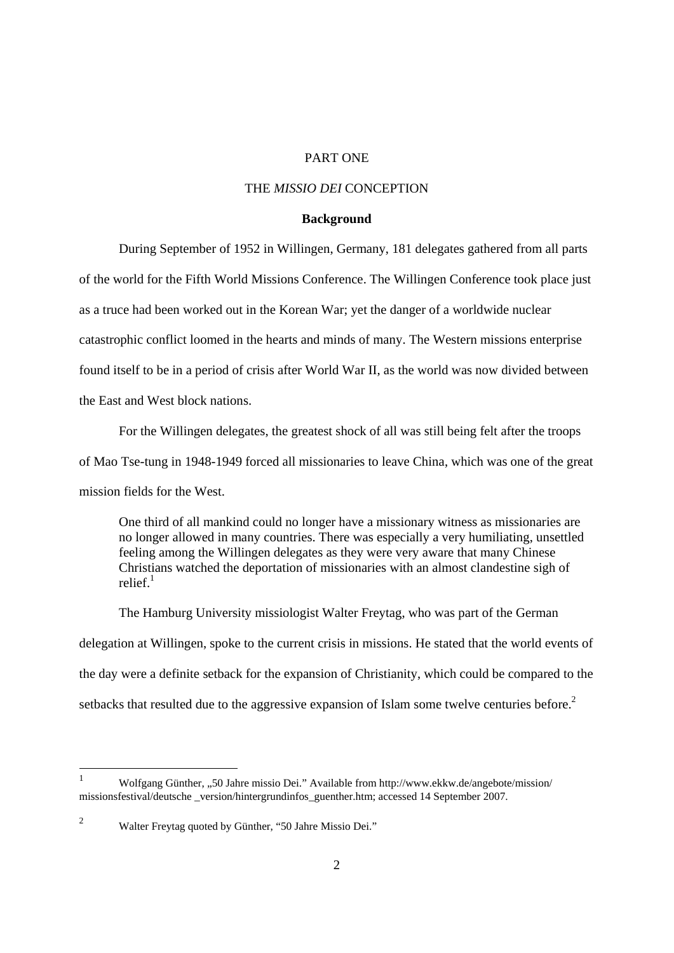# PART ONE

#### THE *MISSIO DEI* CONCEPTION

#### **Background**

During September of 1952 in Willingen, Germany, 181 delegates gathered from all parts of the world for the Fifth World Missions Conference. The Willingen Conference took place just as a truce had been worked out in the Korean War; yet the danger of a worldwide nuclear catastrophic conflict loomed in the hearts and minds of many. The Western missions enterprise found itself to be in a period of crisis after World War II, as the world was now divided between the East and West block nations.

 For the Willingen delegates, the greatest shock of all was still being felt after the troops of Mao Tse-tung in 1948-1949 forced all missionaries to leave China, which was one of the great mission fields for the West.

One third of all mankind could no longer have a missionary witness as missionaries are no longer allowed in many countries. There was especially a very humiliating, unsettled feeling among the Willingen delegates as they were very aware that many Chinese Christians watched the deportation of missionaries with an almost clandestine sigh of relief $1$ 

The Hamburg University missiologist Walter Freytag, who was part of the German delegation at Willingen, spoke to the current crisis in missions. He stated that the world events of the day were a definite setback for the expansion of Christianity, which could be compared to the setbacks that resulted due to the aggressive expansion of Islam some twelve centuries before.<sup>2</sup>

 $\frac{1}{1}$ Wolfgang Günther, "50 Jahre missio Dei." Available from http://www.ekkw.de/angebote/mission/ missionsfestival/deutsche \_version/hintergrundinfos\_guenther.htm; accessed 14 September 2007.

<sup>2</sup> Walter Freytag quoted by Günther, "50 Jahre Missio Dei."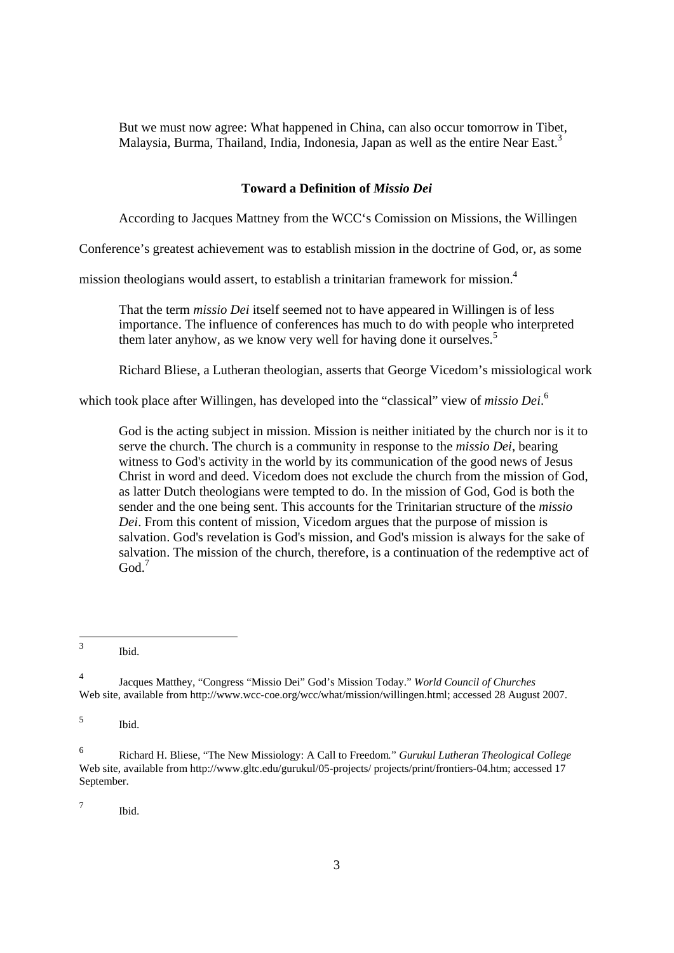But we must now agree: What happened in China, can also occur tomorrow in Tibet, Malaysia, Burma, Thailand, India, Indonesia, Japan as well as the entire Near East.<sup>3</sup>

## **Toward a Definition of** *Missio Dei*

According to Jacques Mattney from the WCC's Comission on Missions, the Willingen

Conference's greatest achievement was to establish mission in the doctrine of God, or, as some

mission theologians would assert, to establish a trinitarian framework for mission.4

That the term *missio Dei* itself seemed not to have appeared in Willingen is of less importance. The influence of conferences has much to do with people who interpreted them later anyhow, as we know very well for having done it ourselves.<sup>5</sup>

Richard Bliese, a Lutheran theologian, asserts that George Vicedom's missiological work

which took place after Willingen, has developed into the "classical" view of *missio Dei*. 6

God is the acting subject in mission. Mission is neither initiated by the church nor is it to serve the church. The church is a community in response to the *missio Dei*, bearing witness to God's activity in the world by its communication of the good news of Jesus Christ in word and deed. Vicedom does not exclude the church from the mission of God, as latter Dutch theologians were tempted to do. In the mission of God, God is both the sender and the one being sent. This accounts for the Trinitarian structure of the *missio Dei*. From this content of mission, Vicedom argues that the purpose of mission is salvation. God's revelation is God's mission, and God's mission is always for the sake of salvation. The mission of the church, therefore, is a continuation of the redemptive act of  $God.<sup>7</sup>$ 

7 Ibid.

 $\frac{1}{3}$ Ibid.

<sup>4</sup> Jacques Matthey, "Congress "Missio Dei" God's Mission Today." *World Council of Churches* Web site, available from http://www.wcc-coe.org/wcc/what/mission/willingen.html; accessed 28 August 2007.

<sup>5</sup> Ibid.

<sup>6</sup> Richard H. Bliese, "The New Missiology: A Call to Freedom*.*" *Gurukul Lutheran Theological College*  Web site, available from http://www.gltc.edu/gurukul/05-projects/ projects/print/frontiers-04.htm; accessed 17 September.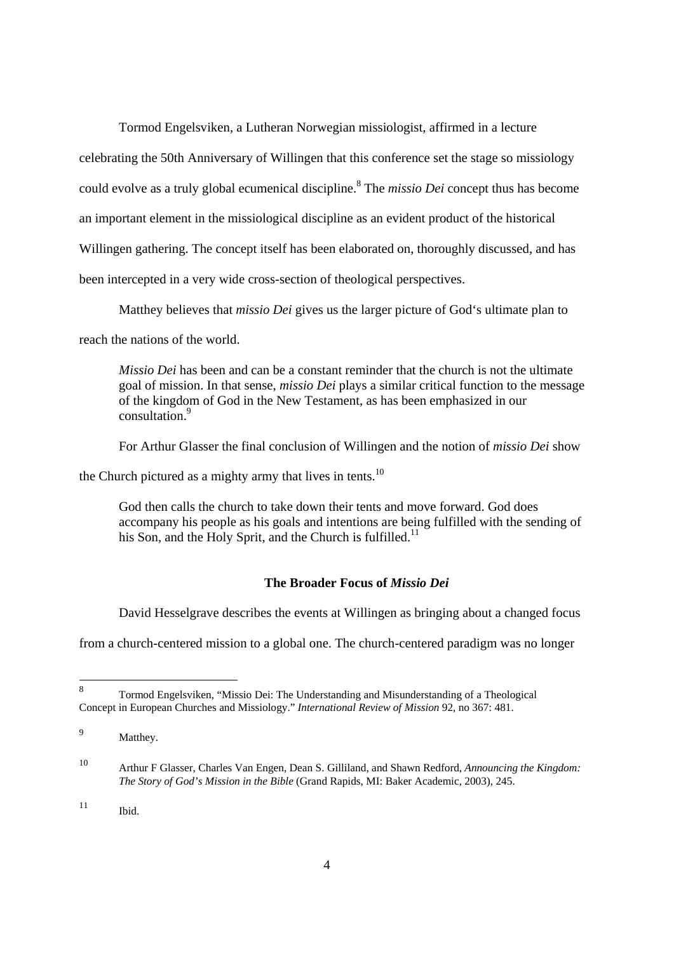Tormod Engelsviken, a Lutheran Norwegian missiologist, affirmed in a lecture

celebrating the 50th Anniversary of Willingen that this conference set the stage so missiology

could evolve as a truly global ecumenical discipline.<sup>8</sup> The *missio Dei* concept thus has become

an important element in the missiological discipline as an evident product of the historical

Willingen gathering. The concept itself has been elaborated on, thoroughly discussed, and has

been intercepted in a very wide cross-section of theological perspectives.

Matthey believes that *missio Dei* gives us the larger picture of God's ultimate plan to

reach the nations of the world.

*Missio Dei* has been and can be a constant reminder that the church is not the ultimate goal of mission. In that sense, *missio Dei* plays a similar critical function to the message of the kingdom of God in the New Testament, as has been emphasized in our consultation.9

For Arthur Glasser the final conclusion of Willingen and the notion of *missio Dei* show

the Church pictured as a mighty army that lives in tents.<sup>10</sup>

God then calls the church to take down their tents and move forward. God does accompany his people as his goals and intentions are being fulfilled with the sending of his Son, and the Holy Sprit, and the Church is fulfilled.<sup>11</sup>

# **The Broader Focus of** *Missio Dei*

David Hesselgrave describes the events at Willingen as bringing about a changed focus

from a church-centered mission to a global one. The church-centered paradigm was no longer

-

<sup>8</sup> Tormod Engelsviken, "Missio Dei: The Understanding and Misunderstanding of a Theological Concept in European Churches and Missiology." *International Review of Mission* 92, no 367: 481.

<sup>9</sup> Matthey.

<sup>10</sup> Arthur F Glasser, Charles Van Engen, Dean S. Gilliland, and Shawn Redford, *Announcing the Kingdom: The Story of God's Mission in the Bible* (Grand Rapids, MI: Baker Academic, 2003), 245.

 $11$  Ibid.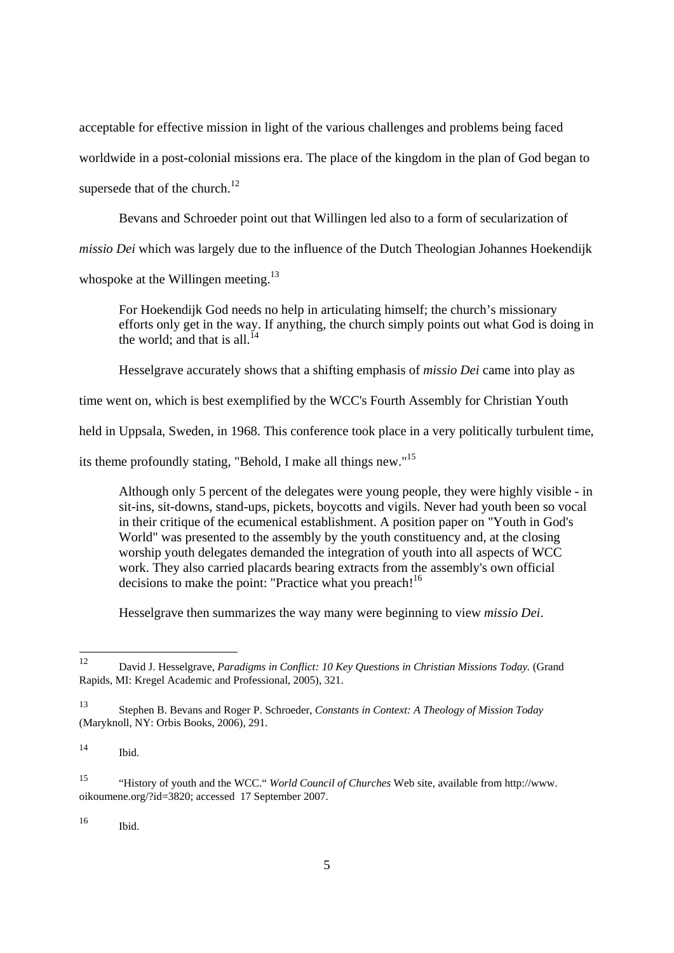acceptable for effective mission in light of the various challenges and problems being faced worldwide in a post-colonial missions era. The place of the kingdom in the plan of God began to supersede that of the church.<sup>12</sup>

Bevans and Schroeder point out that Willingen led also to a form of secularization of

*missio Dei* which was largely due to the influence of the Dutch Theologian Johannes Hoekendijk

whospoke at the Willingen meeting.<sup>13</sup>

For Hoekendijk God needs no help in articulating himself; the church's missionary efforts only get in the way. If anything, the church simply points out what God is doing in the world; and that is all.<sup>14</sup>

Hesselgrave accurately shows that a shifting emphasis of *missio Dei* came into play as

time went on, which is best exemplified by the WCC's Fourth Assembly for Christian Youth

held in Uppsala, Sweden, in 1968. This conference took place in a very politically turbulent time,

its theme profoundly stating, "Behold, I make all things new."15

Although only 5 percent of the delegates were young people, they were highly visible - in sit-ins, sit-downs, stand-ups, pickets, boycotts and vigils. Never had youth been so vocal in their critique of the ecumenical establishment. A position paper on "Youth in God's World" was presented to the assembly by the youth constituency and, at the closing worship youth delegates demanded the integration of youth into all aspects of WCC work. They also carried placards bearing extracts from the assembly's own official decisions to make the point: "Practice what you preach!<sup>16</sup>

Hesselgrave then summarizes the way many were beginning to view *missio Dei*.

 $16$  Ibid.

<sup>12</sup> 12 David J. Hesselgrave, *Paradigms in Conflict: 10 Key Questions in Christian Missions Today.* (Grand Rapids, MI: Kregel Academic and Professional, 2005), 321.

<sup>13</sup> Stephen B. Bevans and Roger P. Schroeder, *Constants in Context: A Theology of Mission Today* (Maryknoll, NY: Orbis Books, 2006), 291.

 $14$ Ibid.

<sup>15 &</sup>quot;History of youth and the WCC." *World Council of Churches* Web site, available from http://www. oikoumene.org/?id=3820; accessed 17 September 2007.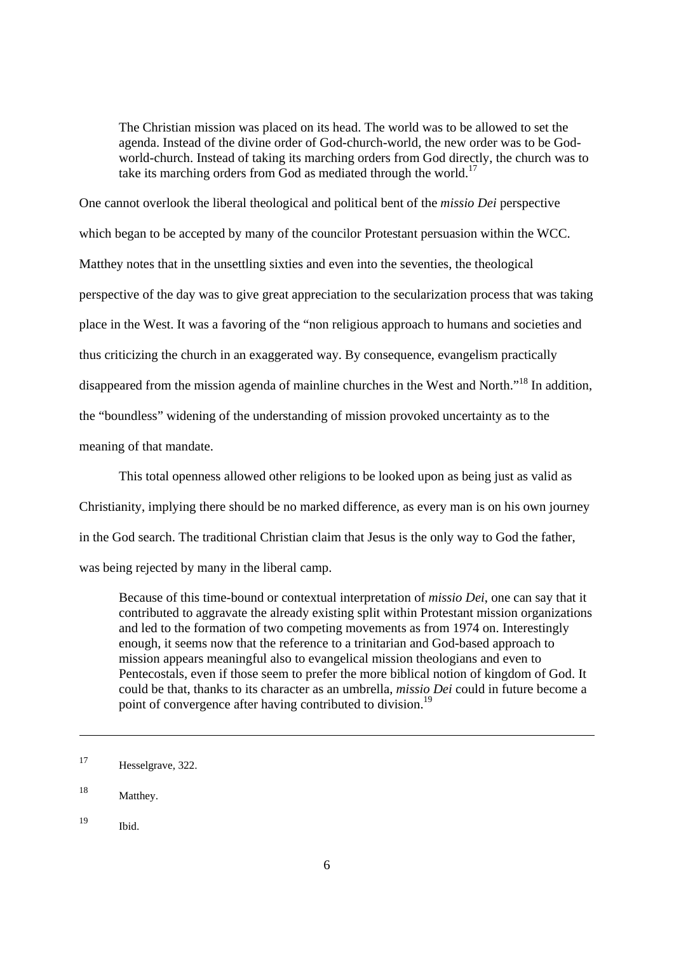The Christian mission was placed on its head. The world was to be allowed to set the agenda. Instead of the divine order of God-church-world, the new order was to be Godworld-church. Instead of taking its marching orders from God directly, the church was to take its marching orders from God as mediated through the world.<sup>17</sup>

One cannot overlook the liberal theological and political bent of the *missio Dei* perspective which began to be accepted by many of the councilor Protestant persuasion within the WCC. Matthey notes that in the unsettling sixties and even into the seventies, the theological perspective of the day was to give great appreciation to the secularization process that was taking place in the West. It was a favoring of the "non religious approach to humans and societies and thus criticizing the church in an exaggerated way. By consequence, evangelism practically disappeared from the mission agenda of mainline churches in the West and North."<sup>18</sup> In addition. the "boundless" widening of the understanding of mission provoked uncertainty as to the meaning of that mandate.

This total openness allowed other religions to be looked upon as being just as valid as Christianity, implying there should be no marked difference, as every man is on his own journey in the God search. The traditional Christian claim that Jesus is the only way to God the father, was being rejected by many in the liberal camp.

Because of this time-bound or contextual interpretation of *missio Dei*, one can say that it contributed to aggravate the already existing split within Protestant mission organizations and led to the formation of two competing movements as from 1974 on. Interestingly enough, it seems now that the reference to a trinitarian and God-based approach to mission appears meaningful also to evangelical mission theologians and even to Pentecostals, even if those seem to prefer the more biblical notion of kingdom of God. It could be that, thanks to its character as an umbrella, *missio Dei* could in future become a point of convergence after having contributed to division.<sup>19</sup>

<sup>17</sup> Hesselgrave, 322.

<sup>18</sup> Matthey.

<sup>19</sup> Ibid.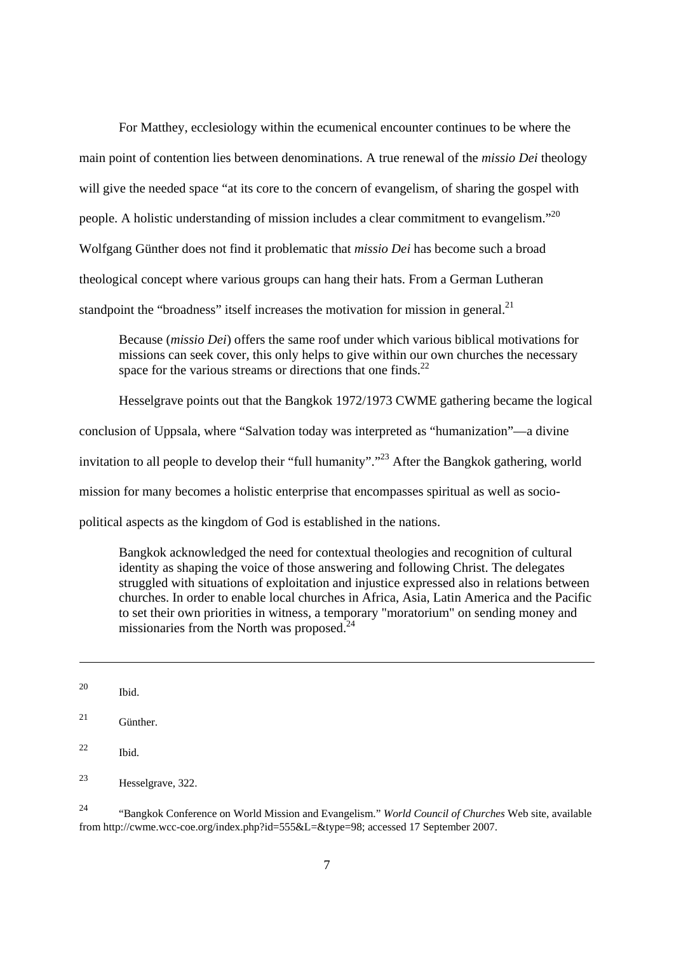For Matthey, ecclesiology within the ecumenical encounter continues to be where the main point of contention lies between denominations. A true renewal of the *missio Dei* theology will give the needed space "at its core to the concern of evangelism, of sharing the gospel with people. A holistic understanding of mission includes a clear commitment to evangelism."20 Wolfgang Günther does not find it problematic that *missio Dei* has become such a broad theological concept where various groups can hang their hats. From a German Lutheran standpoint the "broadness" itself increases the motivation for mission in general.<sup>21</sup>

Because (*missio Dei*) offers the same roof under which various biblical motivations for missions can seek cover, this only helps to give within our own churches the necessary space for the various streams or directions that one finds. $^{22}$ 

Hesselgrave points out that the Bangkok 1972/1973 CWME gathering became the logical conclusion of Uppsala, where "Salvation today was interpreted as "humanization"—a divine invitation to all people to develop their "full humanity"."<sup>23</sup> After the Bangkok gathering, world mission for many becomes a holistic enterprise that encompasses spiritual as well as sociopolitical aspects as the kingdom of God is established in the nations.

Bangkok acknowledged the need for contextual theologies and recognition of cultural identity as shaping the voice of those answering and following Christ. The delegates struggled with situations of exploitation and injustice expressed also in relations between churches. In order to enable local churches in Africa, Asia, Latin America and the Pacific to set their own priorities in witness, a temporary "moratorium" on sending money and missionaries from the North was proposed.<sup>24</sup>

24 "Bangkok Conference on World Mission and Evangelism." *World Council of Churches* Web site, available from http://cwme.wcc-coe.org/index.php?id=555&L=&type=98; accessed 17 September 2007.

<sup>20</sup> Ibid.

<sup>21</sup> Günther.

<sup>22</sup> Ibid.

<sup>23</sup> Hesselgrave, 322.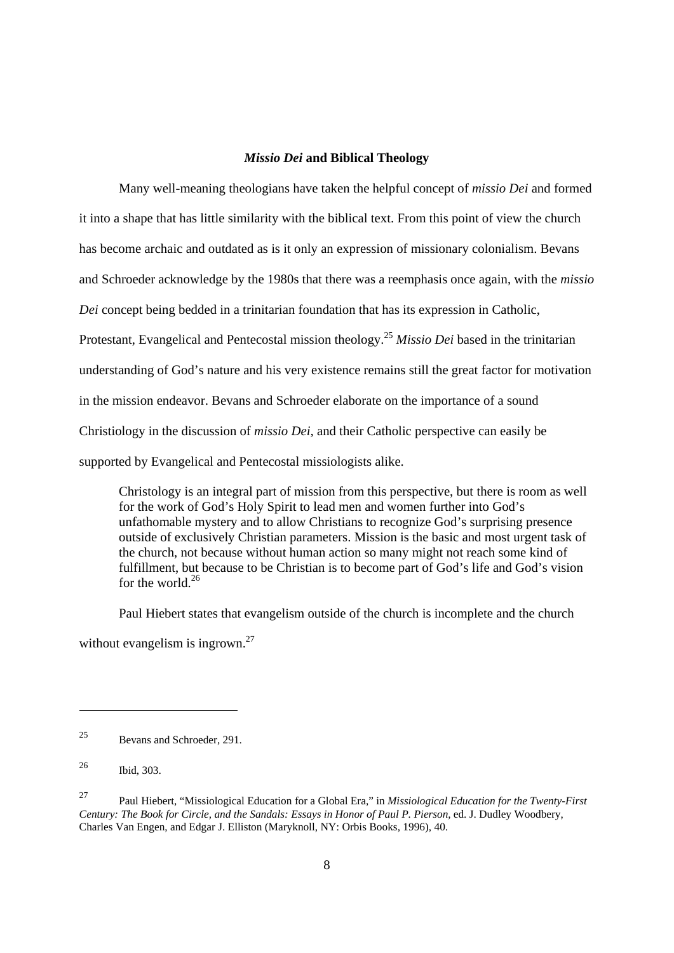# *Missio Dei* **and Biblical Theology**

Many well-meaning theologians have taken the helpful concept of *missio Dei* and formed it into a shape that has little similarity with the biblical text. From this point of view the church has become archaic and outdated as is it only an expression of missionary colonialism. Bevans and Schroeder acknowledge by the 1980s that there was a reemphasis once again, with the *missio Dei* concept being bedded in a trinitarian foundation that has its expression in Catholic, Protestant, Evangelical and Pentecostal mission theology.25 *Missio Dei* based in the trinitarian understanding of God's nature and his very existence remains still the great factor for motivation in the mission endeavor. Bevans and Schroeder elaborate on the importance of a sound Christiology in the discussion of *missio Dei,* and their Catholic perspective can easily be supported by Evangelical and Pentecostal missiologists alike.

Christology is an integral part of mission from this perspective, but there is room as well for the work of God's Holy Spirit to lead men and women further into God's unfathomable mystery and to allow Christians to recognize God's surprising presence outside of exclusively Christian parameters. Mission is the basic and most urgent task of the church, not because without human action so many might not reach some kind of fulfillment, but because to be Christian is to become part of God's life and God's vision for the world  $^{26}$ 

Paul Hiebert states that evangelism outside of the church is incomplete and the church without evangelism is ingrown.<sup>27</sup>

-

<sup>25</sup> Bevans and Schroeder, 291.

<sup>26</sup> Ibid, 303.

<sup>27</sup> Paul Hiebert, "Missiological Education for a Global Era," in *Missiological Education for the Twenty-First Century: The Book for Circle, and the Sandals: Essays in Honor of Paul P. Pierson,* ed. J. Dudley Woodbery, Charles Van Engen, and Edgar J. Elliston (Maryknoll, NY: Orbis Books, 1996), 40.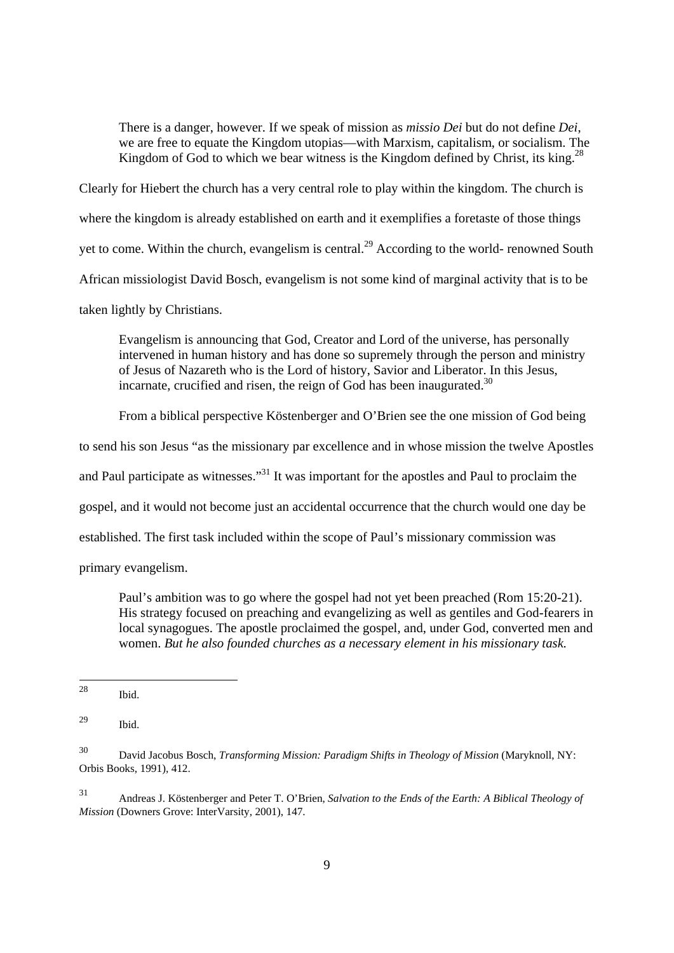There is a danger, however. If we speak of mission as *missio Dei* but do not define *Dei*, we are free to equate the Kingdom utopias—with Marxism, capitalism, or socialism. The Kingdom of God to which we bear witness is the Kingdom defined by Christ, its king.<sup>28</sup>

Clearly for Hiebert the church has a very central role to play within the kingdom. The church is where the kingdom is already established on earth and it exemplifies a foretaste of those things yet to come. Within the church, evangelism is central.<sup>29</sup> According to the world- renowned South African missiologist David Bosch, evangelism is not some kind of marginal activity that is to be taken lightly by Christians.

Evangelism is announcing that God, Creator and Lord of the universe, has personally intervened in human history and has done so supremely through the person and ministry of Jesus of Nazareth who is the Lord of history, Savior and Liberator. In this Jesus, incarnate, crucified and risen, the reign of God has been inaugurated.<sup>30</sup>

From a biblical perspective Köstenberger and O'Brien see the one mission of God being

to send his son Jesus "as the missionary par excellence and in whose mission the twelve Apostles

and Paul participate as witnesses."<sup>31</sup> It was important for the apostles and Paul to proclaim the

gospel, and it would not become just an accidental occurrence that the church would one day be

established. The first task included within the scope of Paul's missionary commission was

primary evangelism.

Paul's ambition was to go where the gospel had not yet been preached (Rom 15:20-21). His strategy focused on preaching and evangelizing as well as gentiles and God-fearers in local synagogues. The apostle proclaimed the gospel, and, under God, converted men and women. *But he also founded churches as a necessary element in his missionary task.* 

<sup>28</sup> Ibid.

<sup>29</sup> Ibid.

<sup>30</sup> David Jacobus Bosch, *Transforming Mission: Paradigm Shifts in Theology of Mission* (Maryknoll, NY: Orbis Books, 1991), 412.

<sup>31</sup> Andreas J. Köstenberger and Peter T. O'Brien, *Salvation to the Ends of the Earth: A Biblical Theology of Mission* (Downers Grove: InterVarsity, 2001), 147.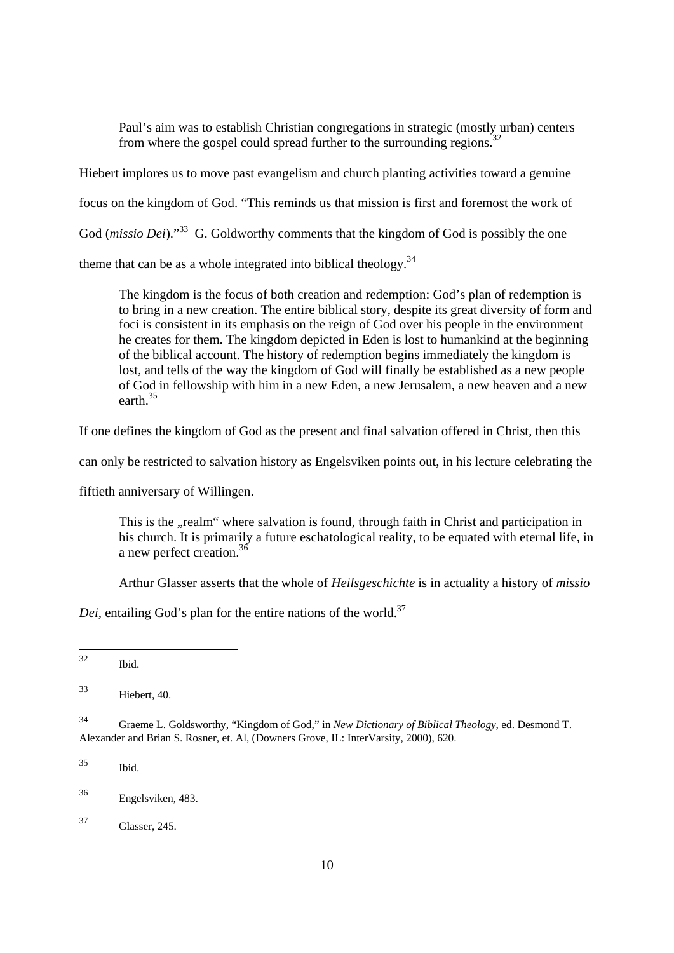Paul's aim was to establish Christian congregations in strategic (mostly urban) centers from where the gospel could spread further to the surrounding regions.<sup>32</sup>

Hiebert implores us to move past evangelism and church planting activities toward a genuine

focus on the kingdom of God. "This reminds us that mission is first and foremost the work of

God (*missio Dei*)."<sup>33</sup> G. Goldworthy comments that the kingdom of God is possibly the one

theme that can be as a whole integrated into biblical theology.<sup>34</sup>

The kingdom is the focus of both creation and redemption: God's plan of redemption is to bring in a new creation. The entire biblical story, despite its great diversity of form and foci is consistent in its emphasis on the reign of God over his people in the environment he creates for them. The kingdom depicted in Eden is lost to humankind at the beginning of the biblical account. The history of redemption begins immediately the kingdom is lost, and tells of the way the kingdom of God will finally be established as a new people of God in fellowship with him in a new Eden, a new Jerusalem, a new heaven and a new earth.35

If one defines the kingdom of God as the present and final salvation offered in Christ, then this

can only be restricted to salvation history as Engelsviken points out, in his lecture celebrating the

fiftieth anniversary of Willingen.

This is the "realm" where salvation is found, through faith in Christ and participation in his church. It is primarily a future eschatological reality, to be equated with eternal life, in a new perfect creation.<sup>36</sup>

Arthur Glasser asserts that the whole of *Heilsgeschichte* is in actuality a history of *missio* 

*Dei*, entailing God's plan for the entire nations of the world.<sup>37</sup>

 $32$ Ibid.

33 Hiebert, 40.

34 Graeme L. Goldsworthy, "Kingdom of God," in *New Dictionary of Biblical Theology*, ed. Desmond T. Alexander and Brian S. Rosner, et. Al, (Downers Grove, IL: InterVarsity, 2000), 620.

35 Ibid.

37 Glasser, 245.

<sup>36</sup> Engelsviken, 483.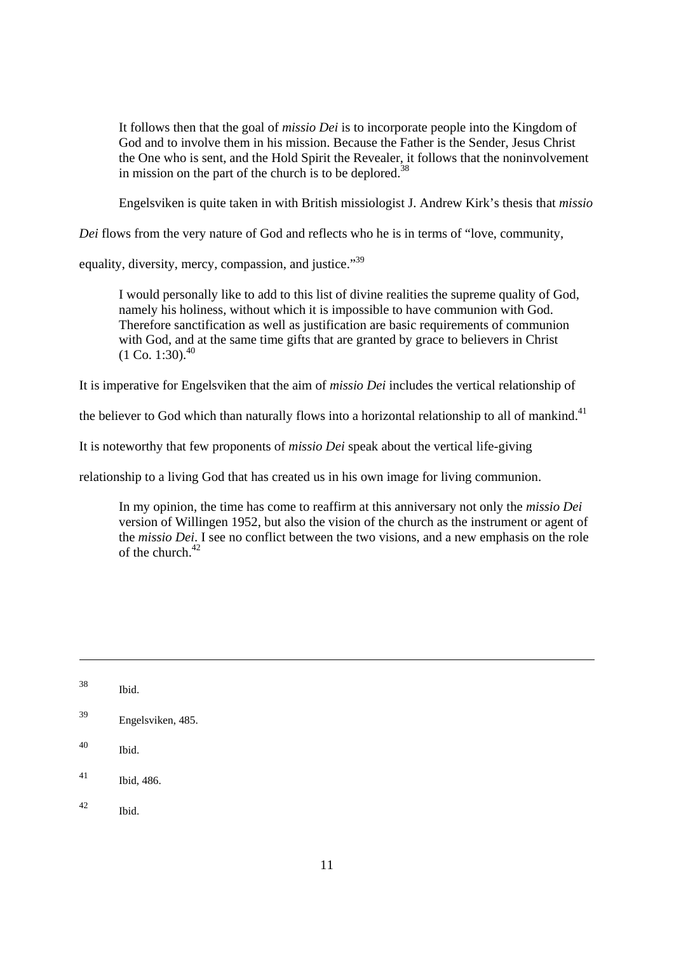It follows then that the goal of *missio Dei* is to incorporate people into the Kingdom of God and to involve them in his mission. Because the Father is the Sender, Jesus Christ the One who is sent, and the Hold Spirit the Revealer, it follows that the noninvolvement in mission on the part of the church is to be deplored.<sup>38</sup>

Engelsviken is quite taken in with British missiologist J. Andrew Kirk's thesis that *missio* 

*Dei* flows from the very nature of God and reflects who he is in terms of "love, community,

equality, diversity, mercy, compassion, and justice."<sup>39</sup>

I would personally like to add to this list of divine realities the supreme quality of God, namely his holiness, without which it is impossible to have communion with God. Therefore sanctification as well as justification are basic requirements of communion with God, and at the same time gifts that are granted by grace to believers in Christ  $(1 \text{ Co. } 1:30)$ .<sup>40</sup>

It is imperative for Engelsviken that the aim of *missio Dei* includes the vertical relationship of

the believer to God which than naturally flows into a horizontal relationship to all of mankind.<sup>41</sup>

It is noteworthy that few proponents of *missio Dei* speak about the vertical life-giving

relationship to a living God that has created us in his own image for living communion.

In my opinion, the time has come to reaffirm at this anniversary not only the *missio Dei* version of Willingen 1952, but also the vision of the church as the instrument or agent of the *missio Dei*. I see no conflict between the two visions, and a new emphasis on the role of the church. $42$ 

- 40 Ibid.
- 41 Ibid, 486.
- 42 Ibid.

<sup>38</sup> Ibid.

<sup>39</sup> Engelsviken, 485.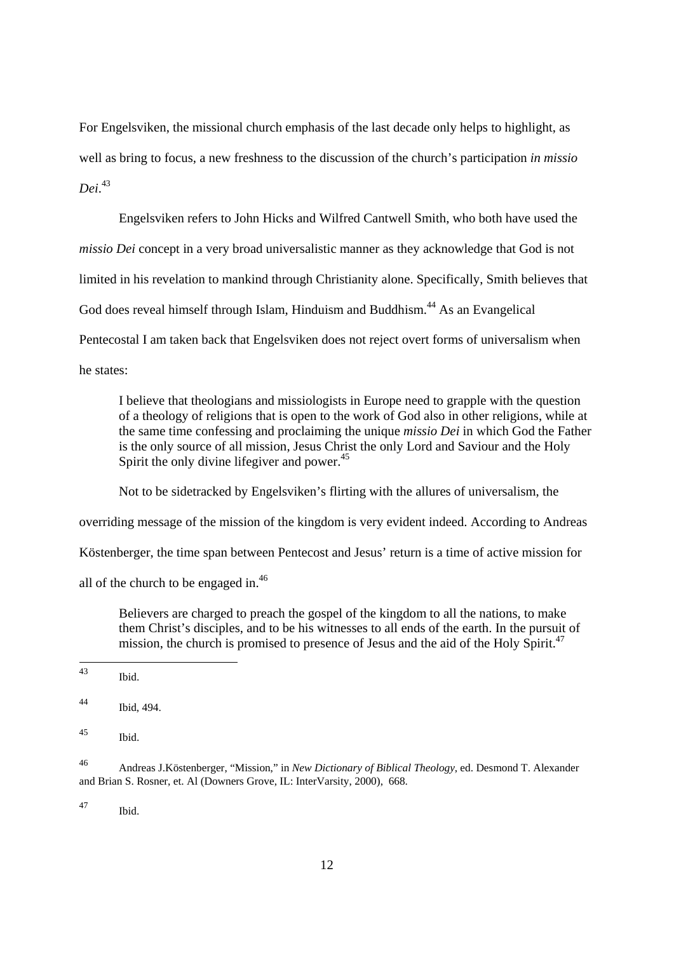For Engelsviken, the missional church emphasis of the last decade only helps to highlight, as well as bring to focus, a new freshness to the discussion of the church's participation *in missio Dei*. 43

Engelsviken refers to John Hicks and Wilfred Cantwell Smith, who both have used the *missio Dei* concept in a very broad universalistic manner as they acknowledge that God is not limited in his revelation to mankind through Christianity alone. Specifically, Smith believes that God does reveal himself through Islam, Hinduism and Buddhism.<sup>44</sup> As an Evangelical Pentecostal I am taken back that Engelsviken does not reject overt forms of universalism when he states:

I believe that theologians and missiologists in Europe need to grapple with the question of a theology of religions that is open to the work of God also in other religions, while at the same time confessing and proclaiming the unique *missio Dei* in which God the Father is the only source of all mission, Jesus Christ the only Lord and Saviour and the Holy Spirit the only divine lifegiver and power.<sup>45</sup>

Not to be sidetracked by Engelsviken's flirting with the allures of universalism, the

overriding message of the mission of the kingdom is very evident indeed. According to Andreas

Köstenberger, the time span between Pentecost and Jesus' return is a time of active mission for

all of the church to be engaged in.<sup>46</sup>

Believers are charged to preach the gospel of the kingdom to all the nations, to make them Christ's disciples, and to be his witnesses to all ends of the earth. In the pursuit of mission, the church is promised to presence of Jesus and the aid of the Holy Spirit.<sup>47</sup>

 $43$ Ibid.

47 Ibid.

<sup>44</sup> Ibid, 494.

<sup>45</sup> Ibid.

<sup>46</sup> Andreas J.Köstenberger, "Mission," in *New Dictionary of Biblical Theology*, ed. Desmond T. Alexander and Brian S. Rosner, et. Al (Downers Grove, IL: InterVarsity, 2000), 668.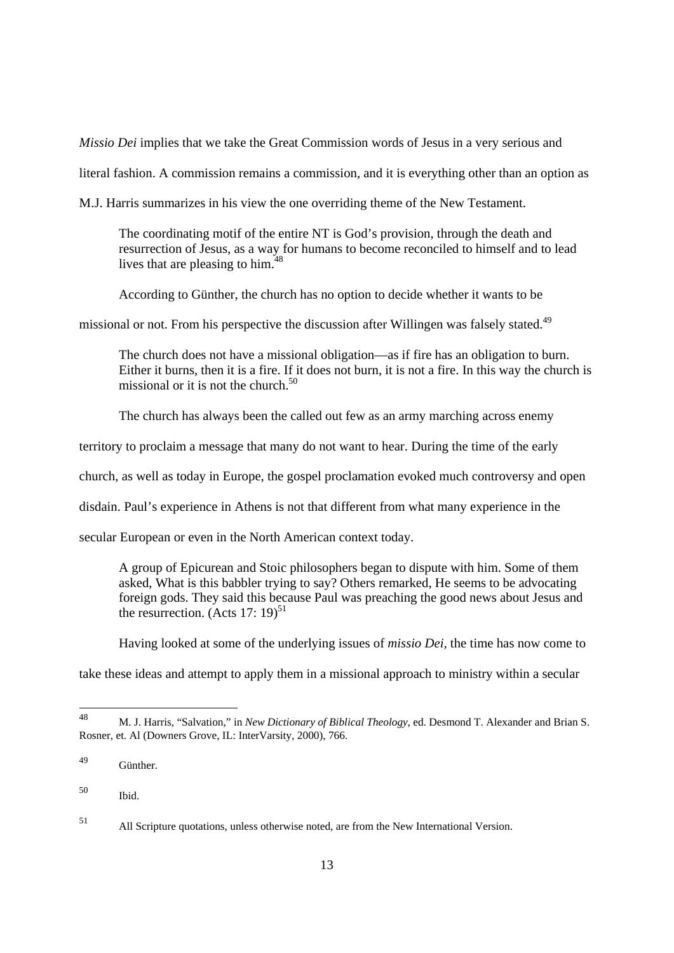*Missio Dei* implies that we take the Great Commission words of Jesus in a very serious and

literal fashion. A commission remains a commission, and it is everything other than an option as

M.J. Harris summarizes in his view the one overriding theme of the New Testament.

The coordinating motif of the entire NT is God's provision, through the death and resurrection of Jesus, as a way for humans to become reconciled to himself and to lead lives that are pleasing to him.<sup>48</sup>

According to Günther, the church has no option to decide whether it wants to be

missional or not. From his perspective the discussion after Willingen was falsely stated.<sup>49</sup>

The church does not have a missional obligation—as if fire has an obligation to burn. Either it burns, then it is a fire. If it does not burn, it is not a fire. In this way the church is missional or it is not the church.<sup>50</sup>

The church has always been the called out few as an army marching across enemy

territory to proclaim a message that many do not want to hear. During the time of the early

church, as well as today in Europe, the gospel proclamation evoked much controversy and open

disdain. Paul's experience in Athens is not that different from what many experience in the

secular European or even in the North American context today.

A group of Epicurean and Stoic philosophers began to dispute with him. Some of them asked, What is this babbler trying to say? Others remarked, He seems to be advocating foreign gods. They said this because Paul was preaching the good news about Jesus and the resurrection. (Acts 17: 19)<sup>51</sup>

Having looked at some of the underlying issues of *missio Dei,* the time has now come to

take these ideas and attempt to apply them in a missional approach to ministry within a secular

<sup>48</sup> 48 M. J. Harris, "Salvation," in *New Dictionary of Biblical Theology*, ed. Desmond T. Alexander and Brian S. Rosner, et. Al (Downers Grove, IL: InterVarsity, 2000), 766.

<sup>49</sup> Günther.

<sup>50</sup> Ibid.

<sup>51</sup> All Scripture quotations, unless otherwise noted, are from the New International Version.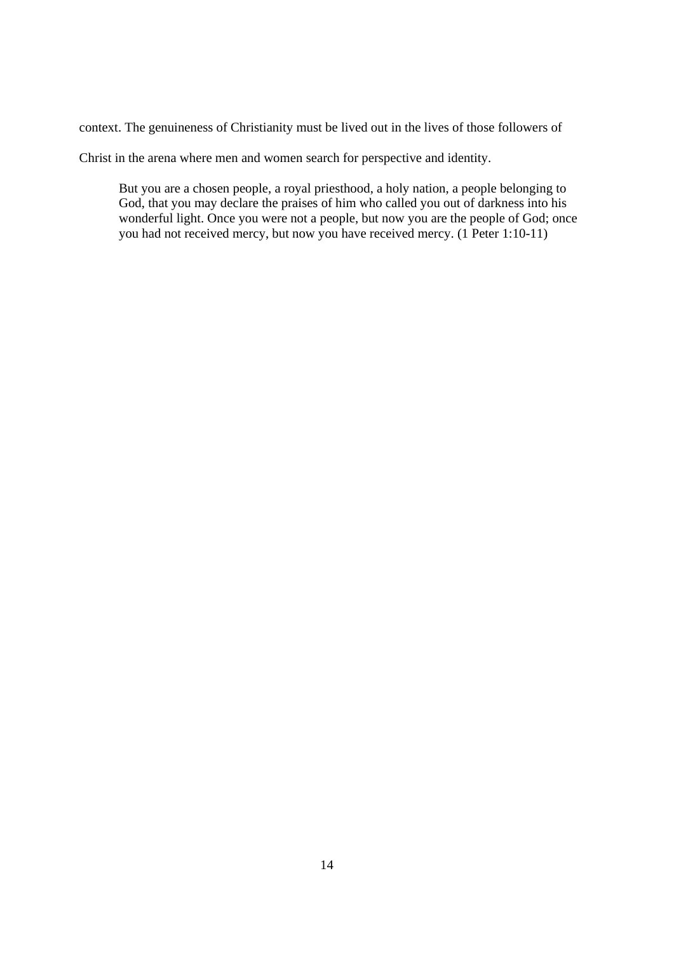context. The genuineness of Christianity must be lived out in the lives of those followers of

Christ in the arena where men and women search for perspective and identity.

But you are a chosen people, a royal priesthood, a holy nation, a people belonging to God, that you may declare the praises of him who called you out of darkness into his wonderful light. Once you were not a people, but now you are the people of God; once you had not received mercy, but now you have received mercy. (1 Peter 1:10-11)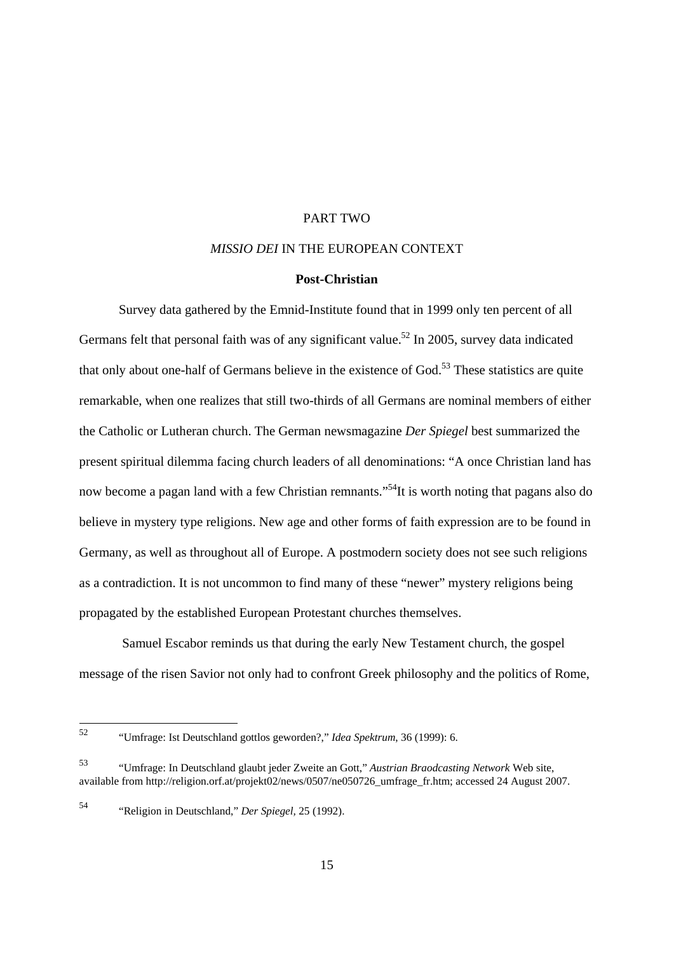#### PART TWO

#### *MISSIO DEI* IN THE EUROPEAN CONTEXT

# **Post-Christian**

Survey data gathered by the Emnid-Institute found that in 1999 only ten percent of all Germans felt that personal faith was of any significant value.<sup>52</sup> In 2005, survey data indicated that only about one-half of Germans believe in the existence of  $God.^{53}$ . These statistics are quite remarkable, when one realizes that still two-thirds of all Germans are nominal members of either the Catholic or Lutheran church. The German newsmagazine *Der Spiegel* best summarized the present spiritual dilemma facing church leaders of all denominations: "A once Christian land has now become a pagan land with a few Christian remnants."<sup>54</sup>It is worth noting that pagans also do believe in mystery type religions. New age and other forms of faith expression are to be found in Germany, as well as throughout all of Europe. A postmodern society does not see such religions as a contradiction. It is not uncommon to find many of these "newer" mystery religions being propagated by the established European Protestant churches themselves.

 Samuel Escabor reminds us that during the early New Testament church, the gospel message of the risen Savior not only had to confront Greek philosophy and the politics of Rome,

54 "Religion in Deutschland," *Der Spiegel,* 25 (1992).

<sup>52</sup> 52 "Umfrage: Ist Deutschland gottlos geworden?," *Idea Spektrum*, 36 (1999): 6.

<sup>53 &</sup>quot;Umfrage: In Deutschland glaubt jeder Zweite an Gott," *Austrian Braodcasting Network* Web site, available from http://religion.orf.at/projekt02/news/0507/ne050726\_umfrage\_fr.htm; accessed 24 August 2007.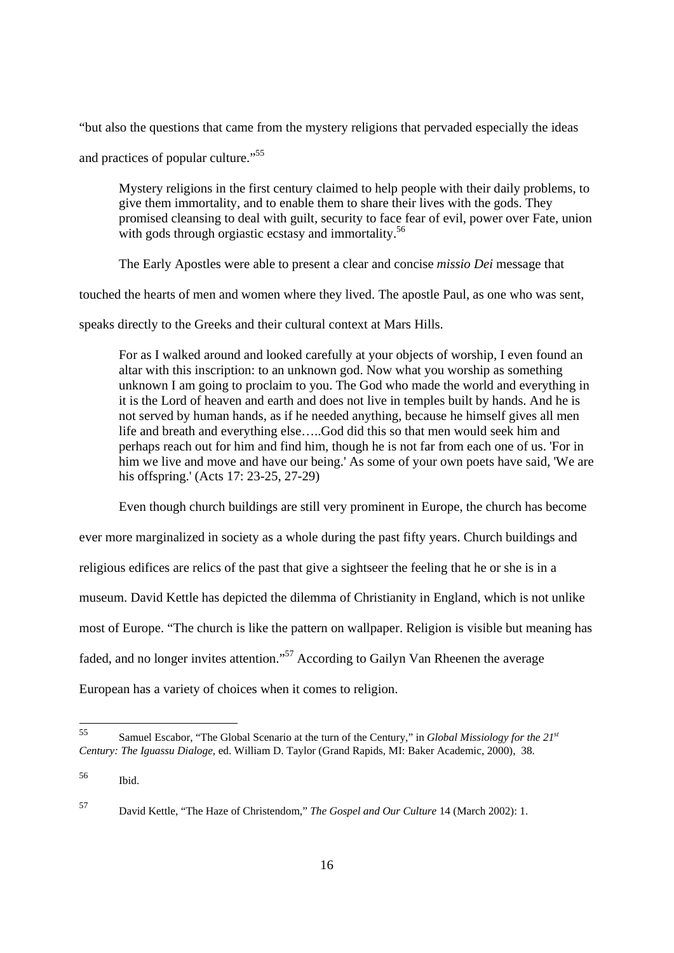"but also the questions that came from the mystery religions that pervaded especially the ideas

and practices of popular culture."55

Mystery religions in the first century claimed to help people with their daily problems, to give them immortality, and to enable them to share their lives with the gods. They promised cleansing to deal with guilt, security to face fear of evil, power over Fate, union with gods through orgiastic ecstasy and immortality.<sup>56</sup>

The Early Apostles were able to present a clear and concise *missio Dei* message that

touched the hearts of men and women where they lived. The apostle Paul, as one who was sent,

speaks directly to the Greeks and their cultural context at Mars Hills.

For as I walked around and looked carefully at your objects of worship, I even found an altar with this inscription: to an unknown god. Now what you worship as something unknown I am going to proclaim to you. The God who made the world and everything in it is the Lord of heaven and earth and does not live in temples built by hands. And he is not served by human hands, as if he needed anything, because he himself gives all men life and breath and everything else…..God did this so that men would seek him and perhaps reach out for him and find him, though he is not far from each one of us. 'For in him we live and move and have our being.' As some of your own poets have said, 'We are his offspring.' (Acts 17: 23-25, 27-29)

Even though church buildings are still very prominent in Europe, the church has become

ever more marginalized in society as a whole during the past fifty years. Church buildings and

religious edifices are relics of the past that give a sightseer the feeling that he or she is in a

museum. David Kettle has depicted the dilemma of Christianity in England, which is not unlike

most of Europe. "The church is like the pattern on wallpaper. Religion is visible but meaning has

faded, and no longer invites attention."57 According to Gailyn Van Rheenen the average

European has a variety of choices when it comes to religion.

 $55$ 55 Samuel Escabor, "The Global Scenario at the turn of the Century," in *Global Missiology for the 21st Century: The Iguassu Dialoge,* ed. William D. Taylor (Grand Rapids, MI: Baker Academic, 2000), 38.

<sup>56</sup> Ibid.

<sup>57</sup> David Kettle, "The Haze of Christendom," *The Gospel and Our Culture* 14 (March 2002): 1.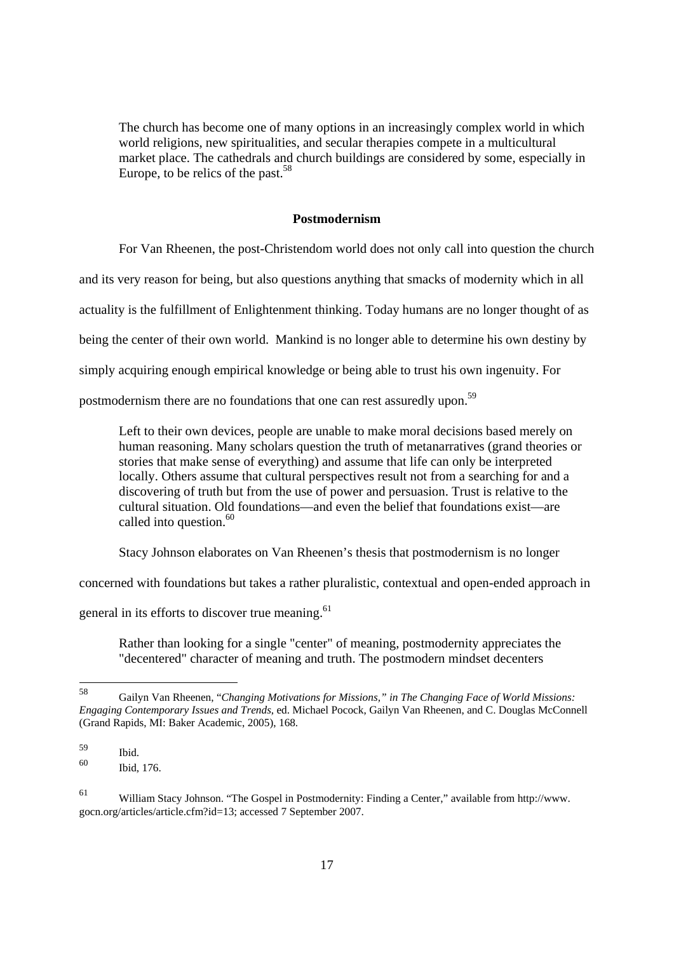The church has become one of many options in an increasingly complex world in which world religions, new spiritualities, and secular therapies compete in a multicultural market place. The cathedrals and church buildings are considered by some, especially in Europe, to be relics of the past.<sup>58</sup>

#### **Postmodernism**

For Van Rheenen, the post-Christendom world does not only call into question the church and its very reason for being, but also questions anything that smacks of modernity which in all actuality is the fulfillment of Enlightenment thinking. Today humans are no longer thought of as being the center of their own world. Mankind is no longer able to determine his own destiny by simply acquiring enough empirical knowledge or being able to trust his own ingenuity. For

postmodernism there are no foundations that one can rest assuredly upon.59

Left to their own devices, people are unable to make moral decisions based merely on human reasoning. Many scholars question the truth of metanarratives (grand theories or stories that make sense of everything) and assume that life can only be interpreted locally. Others assume that cultural perspectives result not from a searching for and a discovering of truth but from the use of power and persuasion. Trust is relative to the cultural situation. Old foundations—and even the belief that foundations exist—are called into question.<sup>60</sup>

Stacy Johnson elaborates on Van Rheenen's thesis that postmodernism is no longer

concerned with foundations but takes a rather pluralistic, contextual and open-ended approach in

general in its efforts to discover true meaning.<sup>61</sup>

Rather than looking for a single "center" of meaning, postmodernity appreciates the "decentered" character of meaning and truth. The postmodern mindset decenters

<sup>58</sup> 58 Gailyn Van Rheenen, "*Changing Motivations for Missions," in The Changing Face of World Missions: Engaging Contemporary Issues and Trends*, ed. Michael Pocock, Gailyn Van Rheenen, and C. Douglas McConnell (Grand Rapids, MI: Baker Academic, 2005), 168.

 $\begin{array}{c}\n 59 \\
60\n \end{array}$  Ibid.

Ibid, 176.

<sup>61</sup> William Stacy Johnson. "The Gospel in Postmodernity: Finding a Center," available from http://www. gocn.org/articles/article.cfm?id=13; accessed 7 September 2007.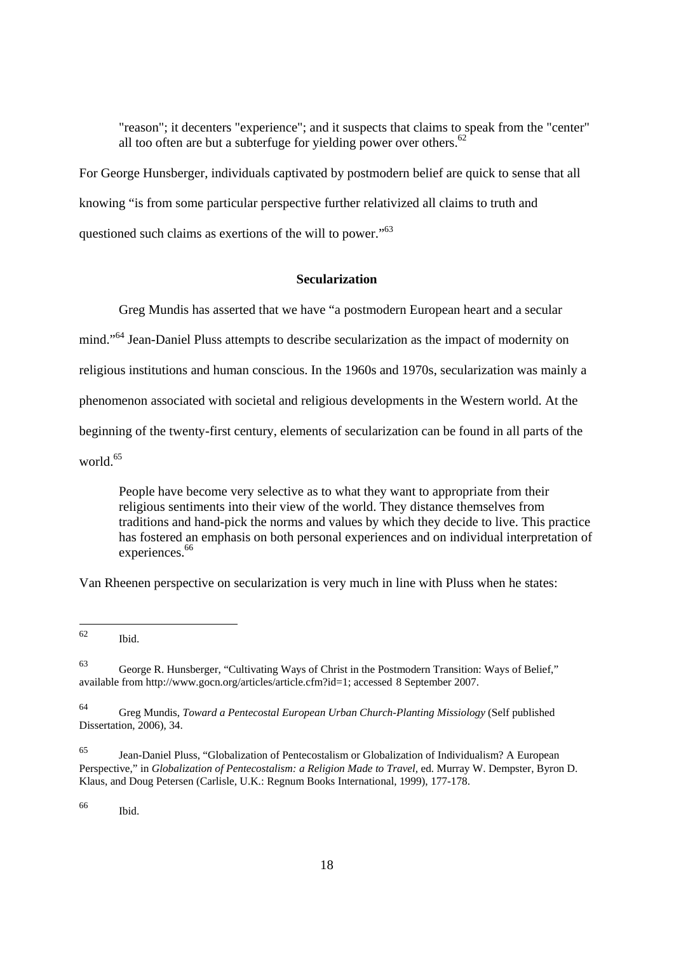"reason"; it decenters "experience"; and it suspects that claims to speak from the "center" all too often are but a subterfuge for yielding power over others.<sup>62</sup>

For George Hunsberger, individuals captivated by postmodern belief are quick to sense that all knowing "is from some particular perspective further relativized all claims to truth and questioned such claims as exertions of the will to power."<sup>63</sup>

## **Secularization**

Greg Mundis has asserted that we have "a postmodern European heart and a secular

mind."64 Jean-Daniel Pluss attempts to describe secularization as the impact of modernity on

religious institutions and human conscious. In the 1960s and 1970s, secularization was mainly a

phenomenon associated with societal and religious developments in the Western world. At the

beginning of the twenty-first century, elements of secularization can be found in all parts of the

world.<sup>65</sup>

People have become very selective as to what they want to appropriate from their religious sentiments into their view of the world. They distance themselves from traditions and hand-pick the norms and values by which they decide to live. This practice has fostered an emphasis on both personal experiences and on individual interpretation of experiences.<sup>66</sup>

Van Rheenen perspective on secularization is very much in line with Pluss when he states:

66 Ibid.

<sup>62</sup> Ibid.

<sup>63</sup> George R. Hunsberger, "Cultivating Ways of Christ in the Postmodern Transition: Ways of Belief," available from http://www.gocn.org/articles/article.cfm?id=1; accessed 8 September 2007.

<sup>64</sup> Greg Mundis, *Toward a Pentecostal European Urban Church-Planting Missiology* (Self published Dissertation, 2006), 34.

Jean-Daniel Pluss, "Globalization of Pentecostalism or Globalization of Individualism? A European Perspective," in *Globalization of Pentecostalism: a Religion Made to Travel,* ed. Murray W. Dempster, Byron D. Klaus, and Doug Petersen (Carlisle, U.K.: Regnum Books International, 1999), 177-178.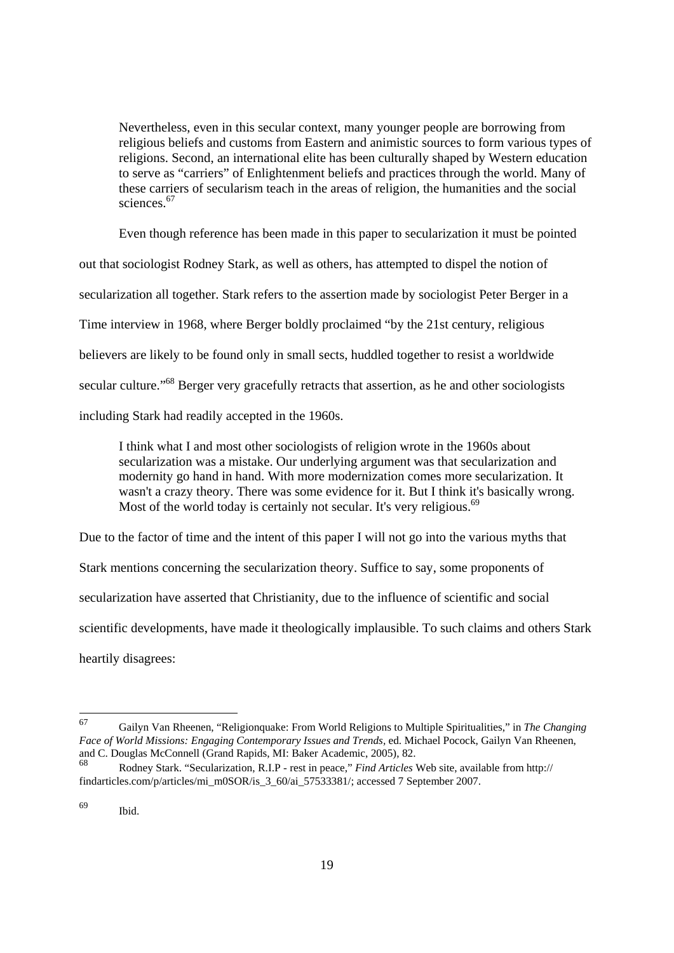Nevertheless, even in this secular context, many younger people are borrowing from religious beliefs and customs from Eastern and animistic sources to form various types of religions. Second, an international elite has been culturally shaped by Western education to serve as "carriers" of Enlightenment beliefs and practices through the world. Many of these carriers of secularism teach in the areas of religion, the humanities and the social sciences.<sup>67</sup>

Even though reference has been made in this paper to secularization it must be pointed

out that sociologist Rodney Stark, as well as others, has attempted to dispel the notion of

secularization all together. Stark refers to the assertion made by sociologist Peter Berger in a

Time interview in 1968, where Berger boldly proclaimed "by the 21st century, religious

believers are likely to be found only in small sects, huddled together to resist a worldwide

secular culture."<sup>68</sup> Berger very gracefully retracts that assertion, as he and other sociologists

including Stark had readily accepted in the 1960s.

I think what I and most other sociologists of religion wrote in the 1960s about secularization was a mistake. Our underlying argument was that secularization and modernity go hand in hand. With more modernization comes more secularization. It wasn't a crazy theory. There was some evidence for it. But I think it's basically wrong. Most of the world today is certainly not secular. It's very religious.<sup>69</sup>

Due to the factor of time and the intent of this paper I will not go into the various myths that

Stark mentions concerning the secularization theory. Suffice to say, some proponents of secularization have asserted that Christianity, due to the influence of scientific and social scientific developments, have made it theologically implausible. To such claims and others Stark heartily disagrees:

<sup>67</sup> 67 Gailyn Van Rheenen, "Religionquake: From World Religions to Multiple Spiritualities," in *The Changing Face of World Missions: Engaging Contemporary Issues and Trends,* ed. Michael Pocock, Gailyn Van Rheenen, and C. Douglas McConnell (Grand Rapids, MI: Baker Academic, 2005), 82.

<sup>68</sup> Rodney Stark. "Secularization, R.I.P - rest in peace," *Find Articles* Web site, available from http:// findarticles.com/p/articles/mi\_m0SOR/is\_3\_60/ai\_57533381/; accessed 7 September 2007.

<sup>69</sup> Ibid.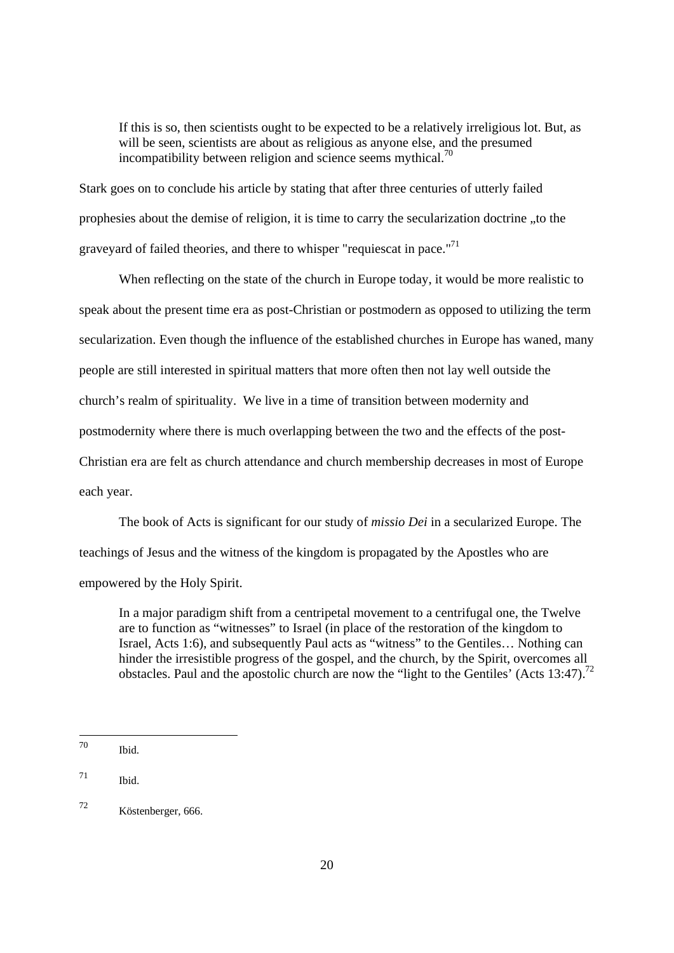If this is so, then scientists ought to be expected to be a relatively irreligious lot. But, as will be seen, scientists are about as religious as anyone else, and the presumed incompatibility between religion and science seems mythical.<sup>70</sup>

Stark goes on to conclude his article by stating that after three centuries of utterly failed prophesies about the demise of religion, it is time to carry the secularization doctrine "to the graveyard of failed theories, and there to whisper "requiescat in pace."<sup>71</sup>

When reflecting on the state of the church in Europe today, it would be more realistic to speak about the present time era as post-Christian or postmodern as opposed to utilizing the term secularization. Even though the influence of the established churches in Europe has waned, many people are still interested in spiritual matters that more often then not lay well outside the church's realm of spirituality. We live in a time of transition between modernity and postmodernity where there is much overlapping between the two and the effects of the post-Christian era are felt as church attendance and church membership decreases in most of Europe each year.

 The book of Acts is significant for our study of *missio Dei* in a secularized Europe. The teachings of Jesus and the witness of the kingdom is propagated by the Apostles who are empowered by the Holy Spirit.

In a major paradigm shift from a centripetal movement to a centrifugal one, the Twelve are to function as "witnesses" to Israel (in place of the restoration of the kingdom to Israel, Acts 1:6), and subsequently Paul acts as "witness" to the Gentiles… Nothing can hinder the irresistible progress of the gospel, and the church, by the Spirit, overcomes all obstacles. Paul and the apostolic church are now the "light to the Gentiles' (Acts 13:47).<sup>72</sup>

<sup>70</sup> Ibid.

 $71$  Ibid.

<sup>72</sup> Köstenberger, 666.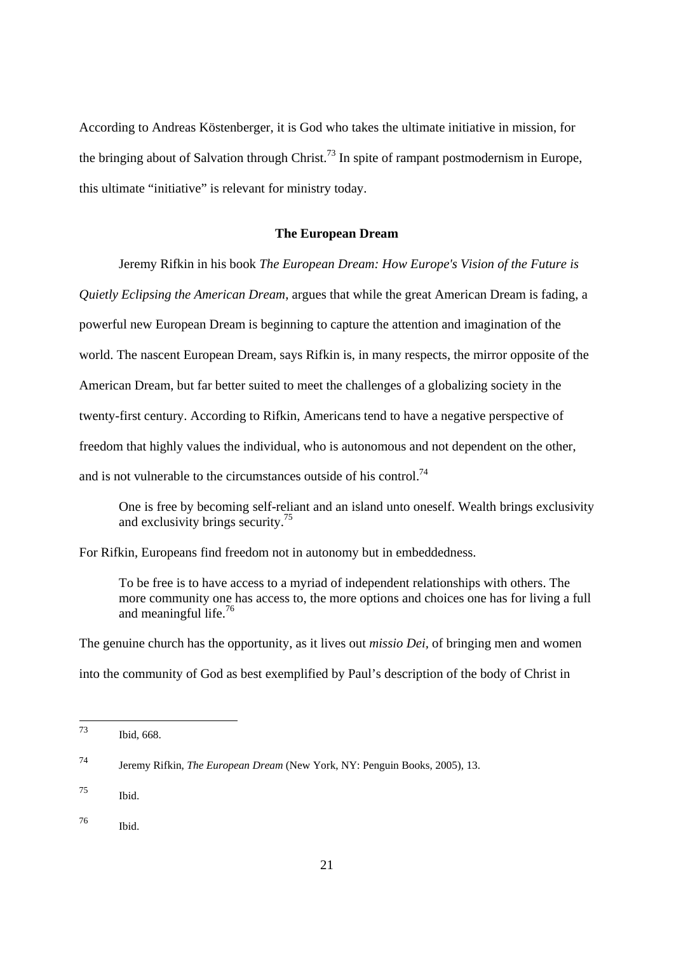According to Andreas Köstenberger, it is God who takes the ultimate initiative in mission, for the bringing about of Salvation through Christ.<sup>73</sup> In spite of rampant postmodernism in Europe, this ultimate "initiative" is relevant for ministry today.

#### **The European Dream**

Jeremy Rifkin in his book *The European Dream: How Europe's Vision of the Future is* 

*Quietly Eclipsing the American Dream*, argues that while the great American Dream is fading, a

powerful new European Dream is beginning to capture the attention and imagination of the

world. The nascent European Dream, says Rifkin is, in many respects, the mirror opposite of the

American Dream, but far better suited to meet the challenges of a globalizing society in the

twenty-first century. According to Rifkin, Americans tend to have a negative perspective of

freedom that highly values the individual, who is autonomous and not dependent on the other,

and is not vulnerable to the circumstances outside of his control.<sup>74</sup>

One is free by becoming self-reliant and an island unto oneself. Wealth brings exclusivity and exclusivity brings security.75

For Rifkin, Europeans find freedom not in autonomy but in embeddedness.

To be free is to have access to a myriad of independent relationships with others. The more community one has access to, the more options and choices one has for living a full and meaningful life.<sup>76</sup>

The genuine church has the opportunity, as it lives out *missio Dei,* of bringing men and women into the community of God as best exemplified by Paul's description of the body of Christ in

 $73$ Ibid, 668.

<sup>74</sup> Jeremy Rifkin, *The European Dream* (New York, NY: Penguin Books, 2005), 13.

<sup>75</sup> Ibid.

<sup>76</sup> Ibid.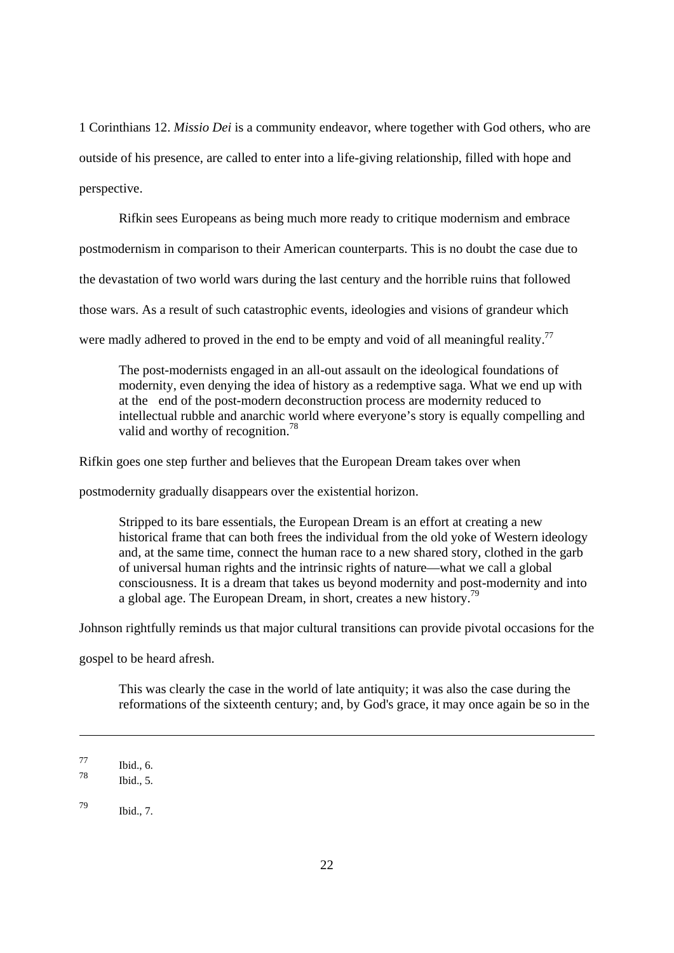1 Corinthians 12. *Missio Dei* is a community endeavor, where together with God others, who are outside of his presence, are called to enter into a life-giving relationship, filled with hope and perspective.

Rifkin sees Europeans as being much more ready to critique modernism and embrace

postmodernism in comparison to their American counterparts. This is no doubt the case due to

the devastation of two world wars during the last century and the horrible ruins that followed

those wars. As a result of such catastrophic events, ideologies and visions of grandeur which

were madly adhered to proved in the end to be empty and void of all meaningful reality.<sup>77</sup>

The post-modernists engaged in an all-out assault on the ideological foundations of modernity, even denying the idea of history as a redemptive saga. What we end up with at the end of the post-modern deconstruction process are modernity reduced to intellectual rubble and anarchic world where everyone's story is equally compelling and valid and worthy of recognition.<sup>78</sup>

Rifkin goes one step further and believes that the European Dream takes over when

postmodernity gradually disappears over the existential horizon.

Stripped to its bare essentials, the European Dream is an effort at creating a new historical frame that can both frees the individual from the old yoke of Western ideology and, at the same time, connect the human race to a new shared story, clothed in the garb of universal human rights and the intrinsic rights of nature—what we call a global consciousness. It is a dream that takes us beyond modernity and post-modernity and into a global age. The European Dream, in short, creates a new history.<sup>79</sup>

Johnson rightfully reminds us that major cultural transitions can provide pivotal occasions for the

gospel to be heard afresh.

This was clearly the case in the world of late antiquity; it was also the case during the reformations of the sixteenth century; and, by God's grace, it may once again be so in the

 $\frac{77}{78}$  Ibid., 6.

Ibid. $5.$ 

<sup>79</sup> Ibid., 7.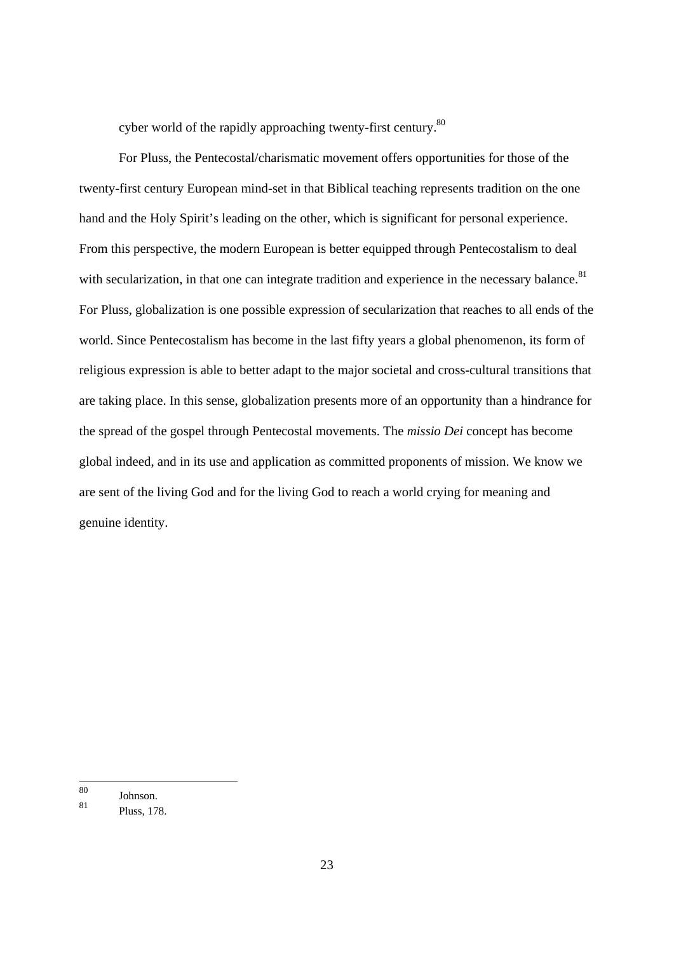cyber world of the rapidly approaching twenty-first century.<sup>80</sup>

For Pluss, the Pentecostal/charismatic movement offers opportunities for those of the twenty-first century European mind-set in that Biblical teaching represents tradition on the one hand and the Holy Spirit's leading on the other, which is significant for personal experience. From this perspective, the modern European is better equipped through Pentecostalism to deal with secularization, in that one can integrate tradition and experience in the necessary balance.<sup>81</sup> For Pluss, globalization is one possible expression of secularization that reaches to all ends of the world. Since Pentecostalism has become in the last fifty years a global phenomenon, its form of religious expression is able to better adapt to the major societal and cross-cultural transitions that are taking place. In this sense, globalization presents more of an opportunity than a hindrance for the spread of the gospel through Pentecostal movements. The *missio Dei* concept has become global indeed, and in its use and application as committed proponents of mission. We know we are sent of the living God and for the living God to reach a world crying for meaning and genuine identity.

<sup>80</sup>  $\frac{80}{81}$  Johnson.

Pluss, 178.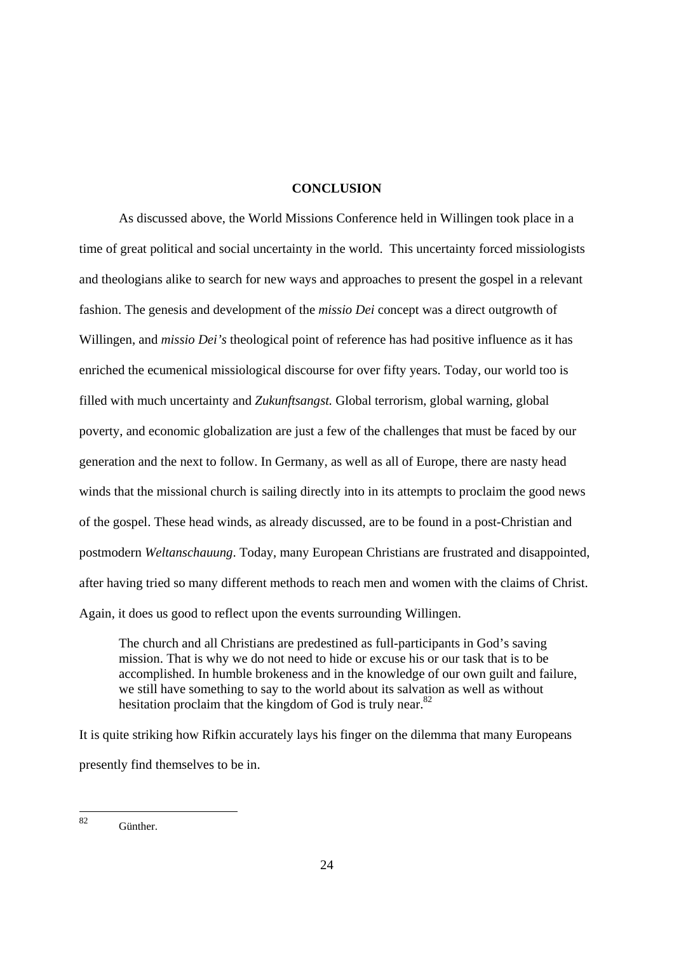#### **CONCLUSION**

As discussed above, the World Missions Conference held in Willingen took place in a time of great political and social uncertainty in the world. This uncertainty forced missiologists and theologians alike to search for new ways and approaches to present the gospel in a relevant fashion. The genesis and development of the *missio Dei* concept was a direct outgrowth of Willingen, and *missio Dei's* theological point of reference has had positive influence as it has enriched the ecumenical missiological discourse for over fifty years. Today, our world too is filled with much uncertainty and *Zukunftsangst.* Global terrorism, global warning, global poverty, and economic globalization are just a few of the challenges that must be faced by our generation and the next to follow. In Germany, as well as all of Europe, there are nasty head winds that the missional church is sailing directly into in its attempts to proclaim the good news of the gospel. These head winds, as already discussed, are to be found in a post-Christian and postmodern *Weltanschauung*. Today, many European Christians are frustrated and disappointed, after having tried so many different methods to reach men and women with the claims of Christ. Again, it does us good to reflect upon the events surrounding Willingen.

The church and all Christians are predestined as full-participants in God's saving mission. That is why we do not need to hide or excuse his or our task that is to be accomplished. In humble brokeness and in the knowledge of our own guilt and failure, we still have something to say to the world about its salvation as well as without hesitation proclaim that the kingdom of God is truly near. $82$ 

It is quite striking how Rifkin accurately lays his finger on the dilemma that many Europeans presently find themselves to be in.

 $82$ **Günther**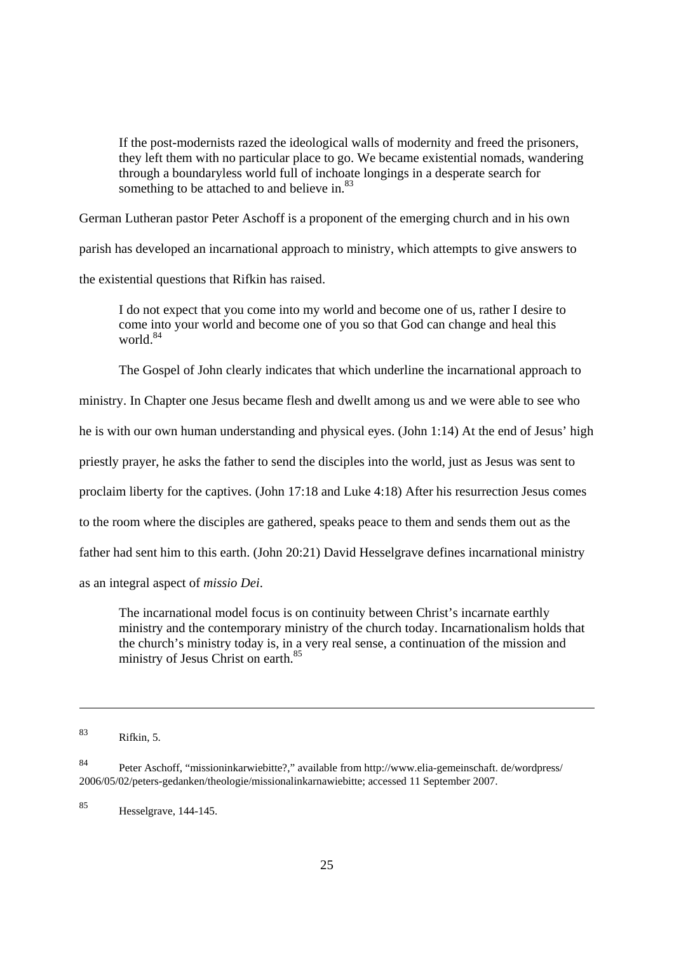If the post-modernists razed the ideological walls of modernity and freed the prisoners, they left them with no particular place to go. We became existential nomads, wandering through a boundaryless world full of inchoate longings in a desperate search for something to be attached to and believe in.<sup>83</sup>

German Lutheran pastor Peter Aschoff is a proponent of the emerging church and in his own

parish has developed an incarnational approach to ministry, which attempts to give answers to

the existential questions that Rifkin has raised.

I do not expect that you come into my world and become one of us, rather I desire to come into your world and become one of you so that God can change and heal this world.<sup>84</sup>

The Gospel of John clearly indicates that which underline the incarnational approach to

ministry. In Chapter one Jesus became flesh and dwellt among us and we were able to see who

he is with our own human understanding and physical eyes. (John 1:14) At the end of Jesus' high

priestly prayer, he asks the father to send the disciples into the world, just as Jesus was sent to

proclaim liberty for the captives. (John 17:18 and Luke 4:18) After his resurrection Jesus comes

to the room where the disciples are gathered, speaks peace to them and sends them out as the

father had sent him to this earth. (John 20:21) David Hesselgrave defines incarnational ministry

as an integral aspect of *missio Dei*.

The incarnational model focus is on continuity between Christ's incarnate earthly ministry and the contemporary ministry of the church today. Incarnationalism holds that the church's ministry today is, in a very real sense, a continuation of the mission and ministry of Jesus Christ on earth.<sup>85</sup>

85 Hesselgrave, 144-145.

<sup>83</sup> Rifkin, 5.

<sup>84</sup> Peter Aschoff, "missioninkarwiebitte?," available from http://www.elia-gemeinschaft. de/wordpress/ 2006/05/02/peters-gedanken/theologie/missionalinkarnawiebitte; accessed 11 September 2007.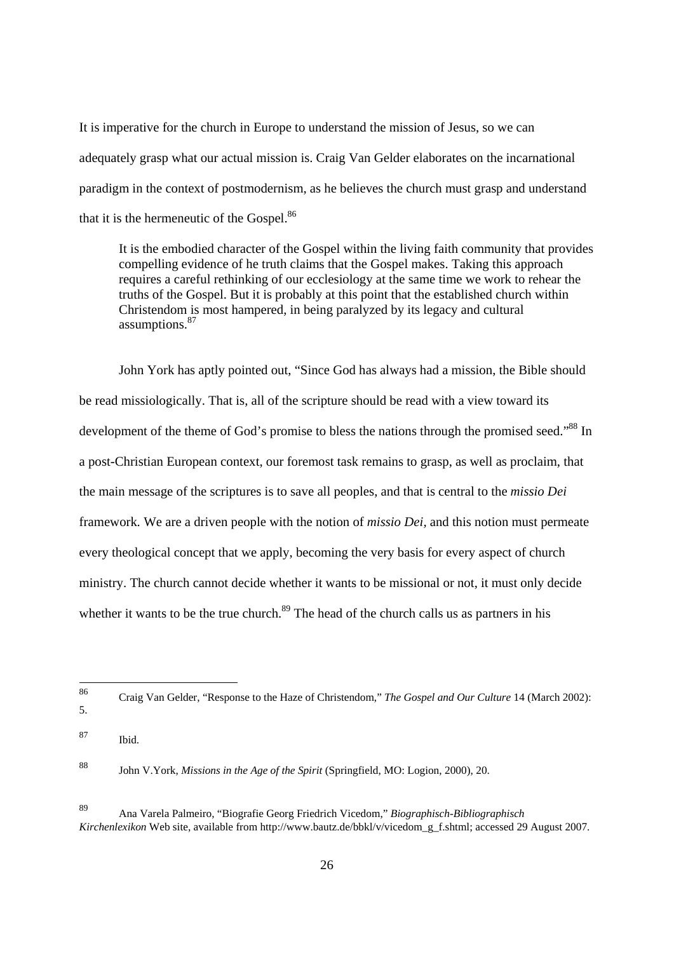It is imperative for the church in Europe to understand the mission of Jesus, so we can adequately grasp what our actual mission is. Craig Van Gelder elaborates on the incarnational paradigm in the context of postmodernism, as he believes the church must grasp and understand that it is the hermeneutic of the Gospel.<sup>86</sup>

It is the embodied character of the Gospel within the living faith community that provides compelling evidence of he truth claims that the Gospel makes. Taking this approach requires a careful rethinking of our ecclesiology at the same time we work to rehear the truths of the Gospel. But it is probably at this point that the established church within Christendom is most hampered, in being paralyzed by its legacy and cultural assumptions.<sup>87</sup>

John York has aptly pointed out, "Since God has always had a mission, the Bible should be read missiologically. That is, all of the scripture should be read with a view toward its development of the theme of God's promise to bless the nations through the promised seed."<sup>88</sup> In a post-Christian European context, our foremost task remains to grasp, as well as proclaim, that the main message of the scriptures is to save all peoples, and that is central to the *missio Dei*  framework*.* We are a driven people with the notion of *missio Dei,* and this notion must permeate every theological concept that we apply, becoming the very basis for every aspect of church ministry. The church cannot decide whether it wants to be missional or not, it must only decide whether it wants to be the true church.<sup>89</sup> The head of the church calls us as partners in his

<sup>86</sup> 86 Craig Van Gelder, "Response to the Haze of Christendom," *The Gospel and Our Culture* 14 (March 2002): 5.

<sup>87</sup> Ibid.

<sup>88</sup> John V.York, *Missions in the Age of the Spirit* (Springfield, MO: Logion, 2000), 20.

<sup>89</sup> Ana Varela Palmeiro, "Biografie Georg Friedrich Vicedom," *Biographisch-Bibliographisch Kirchenlexikon* Web site, available from http://www.bautz.de/bbkl/v/vicedom\_g\_f.shtml; accessed 29 August 2007.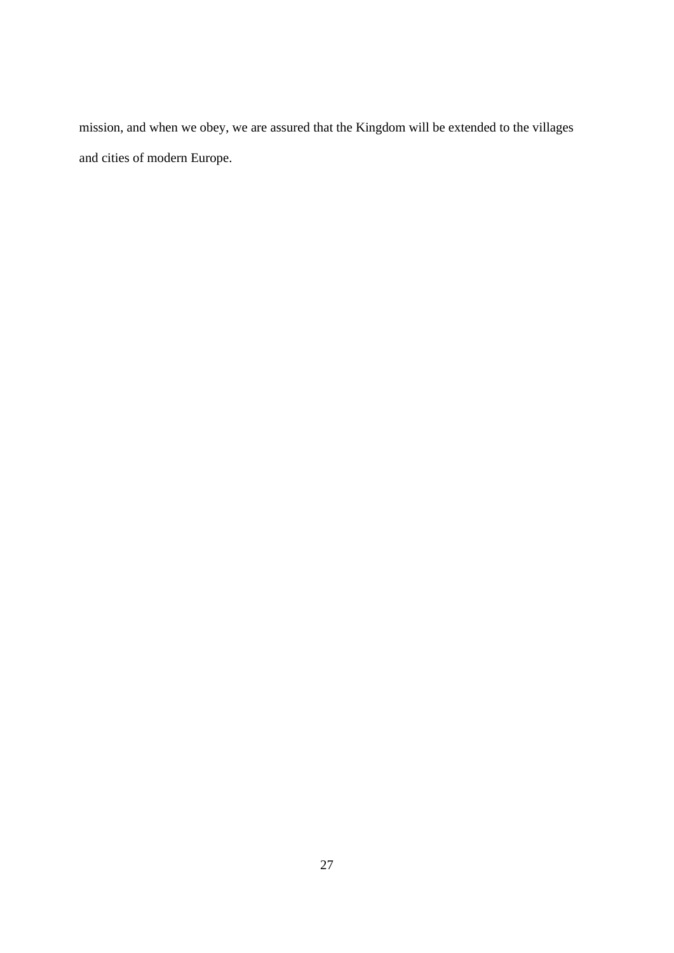mission, and when we obey, we are assured that the Kingdom will be extended to the villages and cities of modern Europe.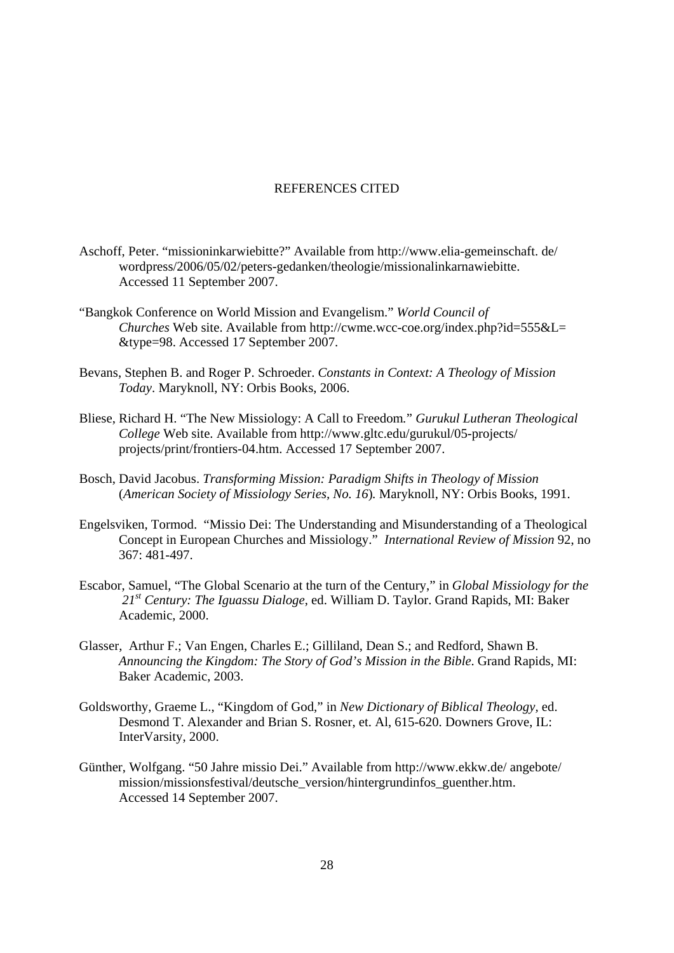#### REFERENCES CITED

- Aschoff, Peter. "missioninkarwiebitte?" Available from http://www.elia-gemeinschaft. de/ wordpress/2006/05/02/peters-gedanken/theologie/missionalinkarnawiebitte. Accessed 11 September 2007.
- "Bangkok Conference on World Mission and Evangelism." *World Council of Churches* Web site. Available from http://cwme.wcc-coe.org/index.php?id=555&L= &type=98. Accessed 17 September 2007.
- Bevans, Stephen B. and Roger P. Schroeder. *Constants in Context: A Theology of Mission Today*. Maryknoll, NY: Orbis Books, 2006.
- Bliese, Richard H. "The New Missiology: A Call to Freedom*.*" *Gurukul Lutheran Theological College* Web site. Available from http://www.gltc.edu/gurukul/05-projects/ projects/print/frontiers-04.htm. Accessed 17 September 2007.
- Bosch, David Jacobus. *Transforming Mission: Paradigm Shifts in Theology of Mission* (*American Society of Missiology Series, No. 16*)*.* Maryknoll, NY: Orbis Books, 1991.
- Engelsviken, Tormod. "Missio Dei: The Understanding and Misunderstanding of a Theological Concept in European Churches and Missiology." *International Review of Mission* 92, no 367: 481-497.
- Escabor, Samuel, "The Global Scenario at the turn of the Century," in *Global Missiology for the 21st Century: The Iguassu Dialoge*, ed. William D. Taylor. Grand Rapids, MI: Baker Academic, 2000.
- Glasser, Arthur F.; Van Engen, Charles E.; Gilliland, Dean S.; and Redford, Shawn B. *Announcing the Kingdom: The Story of God's Mission in the Bible*. Grand Rapids, MI: Baker Academic, 2003.
- Goldsworthy, Graeme L., "Kingdom of God," in *New Dictionary of Biblical Theology,* ed. Desmond T. Alexander and Brian S. Rosner, et. Al, 615-620. Downers Grove, IL: InterVarsity, 2000.
- Günther, Wolfgang. "50 Jahre missio Dei." Available from http://www.ekkw.de/ angebote/ mission/missionsfestival/deutsche\_version/hintergrundinfos\_guenther.htm. Accessed 14 September 2007.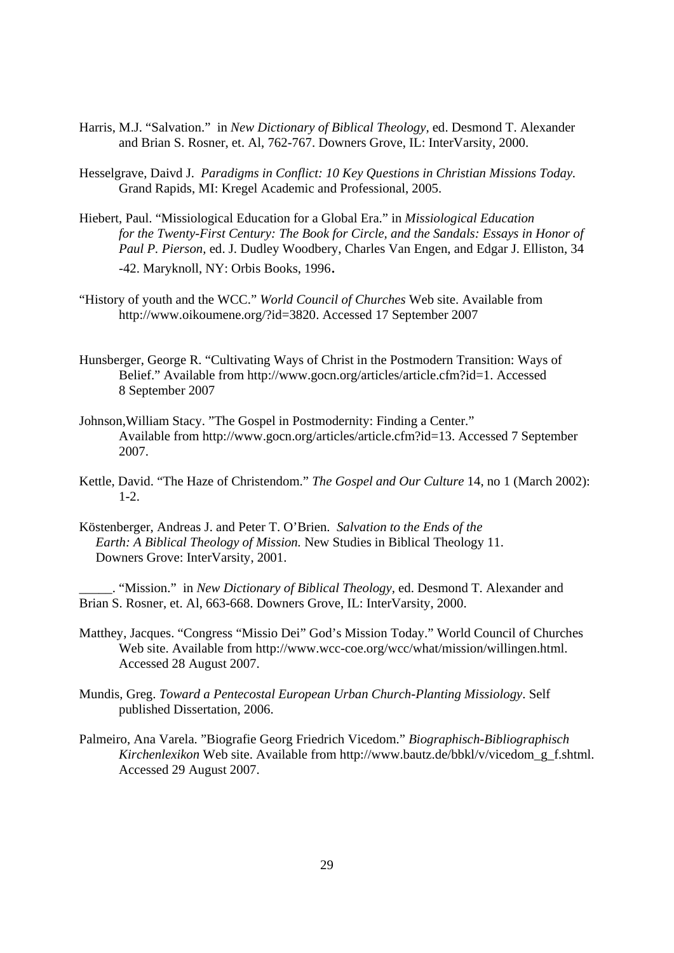- Harris, M.J. "Salvation." in *New Dictionary of Biblical Theology,* ed. Desmond T. Alexander and Brian S. Rosner, et. Al, 762-767. Downers Grove, IL: InterVarsity, 2000.
- Hesselgrave, Daivd J. *Paradigms in Conflict: 10 Key Questions in Christian Missions Today.* Grand Rapids, MI: Kregel Academic and Professional, 2005.
- Hiebert, Paul. "Missiological Education for a Global Era." in *Missiological Education for the Twenty-First Century: The Book for Circle, and the Sandals: Essays in Honor of Paul P. Pierson,* ed. J. Dudley Woodbery, Charles Van Engen, and Edgar J. Elliston, 34 -42. Maryknoll, NY: Orbis Books, 1996.
- "History of youth and the WCC." *World Council of Churches* Web site. Available from http://www.oikoumene.org/?id=3820. Accessed 17 September 2007
- Hunsberger, George R. "Cultivating Ways of Christ in the Postmodern Transition: Ways of Belief." Available from http://www.gocn.org/articles/article.cfm?id=1. Accessed 8 September 2007
- Johnson,William Stacy. "The Gospel in Postmodernity: Finding a Center." Available from http://www.gocn.org/articles/article.cfm?id=13. Accessed 7 September 2007.
- Kettle, David. "The Haze of Christendom." *The Gospel and Our Culture* 14, no 1 (March 2002):  $1 - 2$ .
- Köstenberger, Andreas J. and Peter T. O'Brien. *Salvation to the Ends of the Earth: A Biblical Theology of Mission.* New Studies in Biblical Theology 11. Downers Grove: InterVarsity, 2001.

\_\_\_\_\_. "Mission." in *New Dictionary of Biblical Theology,* ed. Desmond T. Alexander and Brian S. Rosner, et. Al, 663-668. Downers Grove, IL: InterVarsity, 2000.

- Matthey, Jacques. "Congress "Missio Dei" God's Mission Today." World Council of Churches Web site. Available from http://www.wcc-coe.org/wcc/what/mission/willingen.html. Accessed 28 August 2007.
- Mundis, Greg. *Toward a Pentecostal European Urban Church-Planting Missiology*. Self published Dissertation, 2006.
- Palmeiro, Ana Varela. "Biografie Georg Friedrich Vicedom." *Biographisch-Bibliographisch Kirchenlexikon* Web site. Available from http://www.bautz.de/bbkl/v/vicedom\_g\_f.shtml. Accessed 29 August 2007.